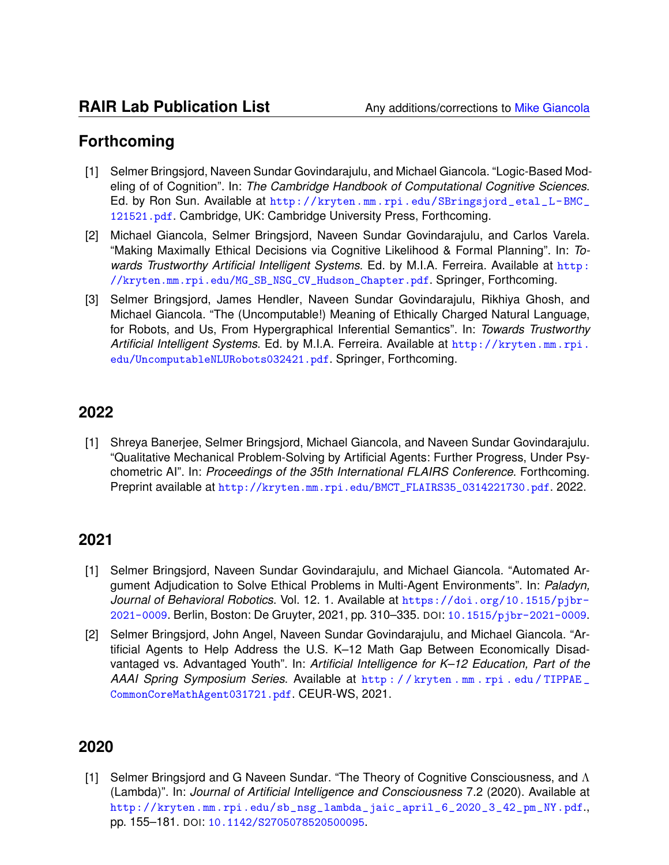## **Forthcoming**

- [1] Selmer Bringsjord, Naveen Sundar Govindarajulu, and Michael Giancola. "Logic-Based Modeling of of Cognition". In: *The Cambridge Handbook of Computational Cognitive Sciences*. Ed. by Ron Sun. Available at [http://kryten.mm.rpi.edu/SBringsjord\\_etal\\_L- BMC\\_](http://kryten.mm.rpi.edu/SBringsjord_etal_L-BMC_121521.pdf) [121521.pdf](http://kryten.mm.rpi.edu/SBringsjord_etal_L-BMC_121521.pdf). Cambridge, UK: Cambridge University Press, Forthcoming.
- [2] Michael Giancola, Selmer Bringsjord, Naveen Sundar Govindarajulu, and Carlos Varela. "Making Maximally Ethical Decisions via Cognitive Likelihood & Formal Planning". In: *Towards Trustworthy Artificial Intelligent Systems*. Ed. by M.I.A. Ferreira. Available at [http:](http://kryten.mm.rpi.edu/MG_SB_NSG_CV_Hudson_Chapter.pdf) [//kryten.mm.rpi.edu/MG\\_SB\\_NSG\\_CV\\_Hudson\\_Chapter.pdf](http://kryten.mm.rpi.edu/MG_SB_NSG_CV_Hudson_Chapter.pdf). Springer, Forthcoming.
- [3] Selmer Bringsjord, James Hendler, Naveen Sundar Govindarajulu, Rikhiya Ghosh, and Michael Giancola. "The (Uncomputable!) Meaning of Ethically Charged Natural Language, for Robots, and Us, From Hypergraphical Inferential Semantics". In: *Towards Trustworthy Artificial Intelligent Systems*. Ed. by M.I.A. Ferreira. Available at [http://kryten.mm.rpi.](http://kryten.mm.rpi.edu/UncomputableNLURobots032421.pdf) [edu/UncomputableNLURobots032421.pdf](http://kryten.mm.rpi.edu/UncomputableNLURobots032421.pdf). Springer, Forthcoming.

## **2022**

[1] Shreya Banerjee, Selmer Bringsjord, Michael Giancola, and Naveen Sundar Govindarajulu. "Qualitative Mechanical Problem-Solving by Artificial Agents: Further Progress, Under Psychometric AI". In: *Proceedings of the 35th International FLAIRS Conference*. Forthcoming. Preprint available at [http://kryten.mm.rpi.edu/BMCT\\_FLAIRS35\\_0314221730.pdf](http://kryten.mm.rpi.edu/BMCT_FLAIRS35_0314221730.pdf). 2022.

## **2021**

- [1] Selmer Bringsjord, Naveen Sundar Govindarajulu, and Michael Giancola. "Automated Argument Adjudication to Solve Ethical Problems in Multi-Agent Environments". In: *Paladyn, Journal of Behavioral Robotics*. Vol. 12. 1. Available at [https://doi.org/10.1515/pjbr-](https://doi.org/10.1515/pjbr-2021-0009)[2021-0009](https://doi.org/10.1515/pjbr-2021-0009). Berlin, Boston: De Gruyter, 2021, pp. 310–335. DOI: [10.1515/pjbr-2021-0009](https://doi.org/10.1515/pjbr-2021-0009).
- [2] Selmer Bringsjord, John Angel, Naveen Sundar Govindarajulu, and Michael Giancola. "Artificial Agents to Help Address the U.S. K–12 Math Gap Between Economically Disadvantaged vs. Advantaged Youth". In: *Artificial Intelligence for K–12 Education, Part of the AAAI Spring Symposium Series*. Available at [http : / / kryten . mm . rpi . edu / TIPPAE \\_](http://kryten.mm.rpi.edu/TIPPAE_CommonCoreMathAgent031721.pdf) [CommonCoreMathAgent031721.pdf](http://kryten.mm.rpi.edu/TIPPAE_CommonCoreMathAgent031721.pdf). CEUR-WS, 2021.

## **2020**

[1] Selmer Bringsjord and G Naveen Sundar. "The Theory of Cognitive Consciousness, and Λ (Lambda)". In: *Journal of Artificial Intelligence and Consciousness* 7.2 (2020). Available at [http://kryten.mm.rpi.edu/sb\\_nsg\\_lambda\\_jaic\\_april\\_6\\_2020\\_3\\_42\\_pm\\_NY.pdf](http://kryten.mm.rpi.edu/sb_nsg_lambda_jaic_april_6_2020_3_42_pm_NY.pdf)., pp. 155–181. DOI: [10.1142/S2705078520500095](https://doi.org/10.1142/S2705078520500095).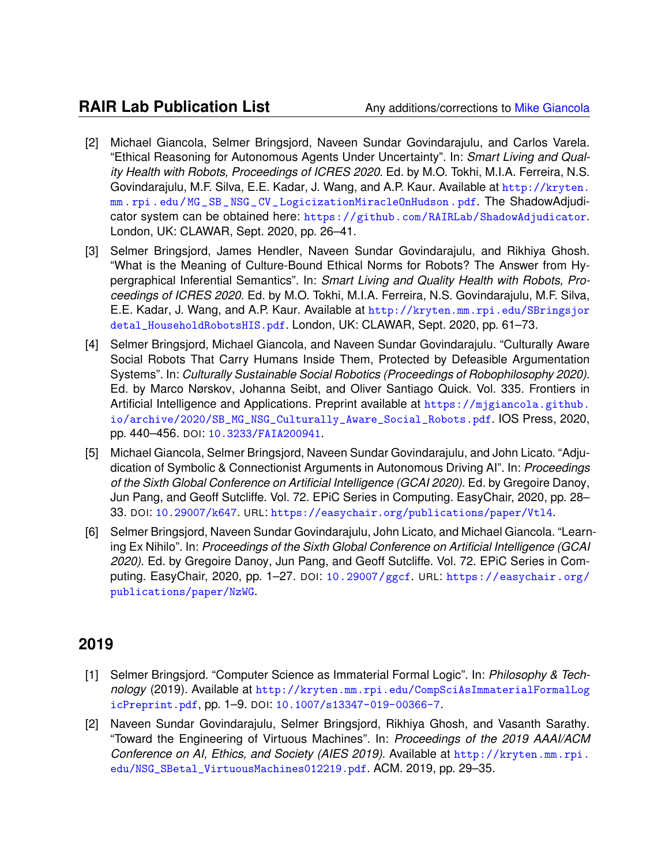- [2] Michael Giancola, Selmer Bringsjord, Naveen Sundar Govindarajulu, and Carlos Varela. "Ethical Reasoning for Autonomous Agents Under Uncertainty". In: *Smart Living and Quality Health with Robots, Proceedings of ICRES 2020*. Ed. by M.O. Tokhi, M.I.A. Ferreira, N.S. Govindarajulu, M.F. Silva, E.E. Kadar, J. Wang, and A.P. Kaur. Available at [http://kryten.](http://kryten.mm.rpi.edu/MG_SB_NSG_CV_LogicizationMiracleOnHudson.pdf) [mm . rpi . edu / MG \\_ SB \\_ NSG \\_ CV \\_ LogicizationMiracleOnHudson . pdf](http://kryten.mm.rpi.edu/MG_SB_NSG_CV_LogicizationMiracleOnHudson.pdf). The ShadowAdjudicator system can be obtained here: <https://github.com/RAIRLab/ShadowAdjudicator>. London, UK: CLAWAR, Sept. 2020, pp. 26–41.
- [3] Selmer Bringsjord, James Hendler, Naveen Sundar Govindarajulu, and Rikhiya Ghosh. "What is the Meaning of Culture-Bound Ethical Norms for Robots? The Answer from Hypergraphical Inferential Semantics". In: *Smart Living and Quality Health with Robots, Proceedings of ICRES 2020*. Ed. by M.O. Tokhi, M.I.A. Ferreira, N.S. Govindarajulu, M.F. Silva, E.E. Kadar, J. Wang, and A.P. Kaur. Available at [http://kryten.mm.rpi.edu/SBringsjor](http://kryten.mm.rpi.edu/SBringsjordetal_HouseholdRobotsHIS.pdf) [detal\\_HouseholdRobotsHIS.pdf](http://kryten.mm.rpi.edu/SBringsjordetal_HouseholdRobotsHIS.pdf). London, UK: CLAWAR, Sept. 2020, pp. 61–73.
- [4] Selmer Bringsjord, Michael Giancola, and Naveen Sundar Govindarajulu. "Culturally Aware Social Robots That Carry Humans Inside Them, Protected by Defeasible Argumentation Systems". In: *Culturally Sustainable Social Robotics (Proceedings of Robophilosophy 2020)*. Ed. by Marco Nørskov, Johanna Seibt, and Oliver Santiago Quick. Vol. 335. Frontiers in Artificial Intelligence and Applications. Preprint available at [https://mjgiancola.github.](https://mjgiancola.github.io/archive/2020/SB_MG_NSG_Culturally_Aware_Social_Robots.pdf) [io/archive/2020/SB\\_MG\\_NSG\\_Culturally\\_Aware\\_Social\\_Robots.pdf](https://mjgiancola.github.io/archive/2020/SB_MG_NSG_Culturally_Aware_Social_Robots.pdf). IOS Press, 2020, pp. 440–456. DOI: [10.3233/FAIA200941](https://doi.org/10.3233/FAIA200941).
- [5] Michael Giancola, Selmer Bringsjord, Naveen Sundar Govindarajulu, and John Licato. "Adjudication of Symbolic & Connectionist Arguments in Autonomous Driving AI". In: *Proceedings of the Sixth Global Conference on Artificial Intelligence (GCAI 2020)*. Ed. by Gregoire Danoy, Jun Pang, and Geoff Sutcliffe. Vol. 72. EPiC Series in Computing. EasyChair, 2020, pp. 28– 33. DOI: [10.29007/k647](https://doi.org/10.29007/k647). URL: <https://easychair.org/publications/paper/Vtl4>.
- [6] Selmer Bringsjord, Naveen Sundar Govindarajulu, John Licato, and Michael Giancola. "Learning Ex Nihilo". In: *Proceedings of the Sixth Global Conference on Artificial Intelligence (GCAI 2020)*. Ed. by Gregoire Danoy, Jun Pang, and Geoff Sutcliffe. Vol. 72. EPiC Series in Computing. EasyChair, 2020, pp. 1–27. DOI: [10.29007/ggcf](https://doi.org/10.29007/ggcf). URL: [https://easychair.org/](https://easychair.org/publications/paper/NzWG) [publications/paper/NzWG](https://easychair.org/publications/paper/NzWG).

- [1] Selmer Bringsjord. "Computer Science as Immaterial Formal Logic". In: *Philosophy & Technology* (2019). Available at [http://kryten.mm.rpi.edu/CompSciAsImmaterialFormalLog](http://kryten.mm.rpi.edu/CompSciAsImmaterialFormalLogicPreprint.pdf) [icPreprint.pdf](http://kryten.mm.rpi.edu/CompSciAsImmaterialFormalLogicPreprint.pdf), pp. 1–9. DOI: [10.1007/s13347-019-00366-7](https://doi.org/10.1007/s13347-019-00366-7).
- [2] Naveen Sundar Govindarajulu, Selmer Bringsjord, Rikhiya Ghosh, and Vasanth Sarathy. "Toward the Engineering of Virtuous Machines". In: *Proceedings of the 2019 AAAI/ACM Conference on AI, Ethics, and Society (AIES 2019)*. Available at [http://kryten.mm.rpi.](http://kryten.mm.rpi.edu/NSG_SBetal_VirtuousMachines012219.pdf) [edu/NSG\\_SBetal\\_VirtuousMachines012219.pdf](http://kryten.mm.rpi.edu/NSG_SBetal_VirtuousMachines012219.pdf). ACM. 2019, pp. 29–35.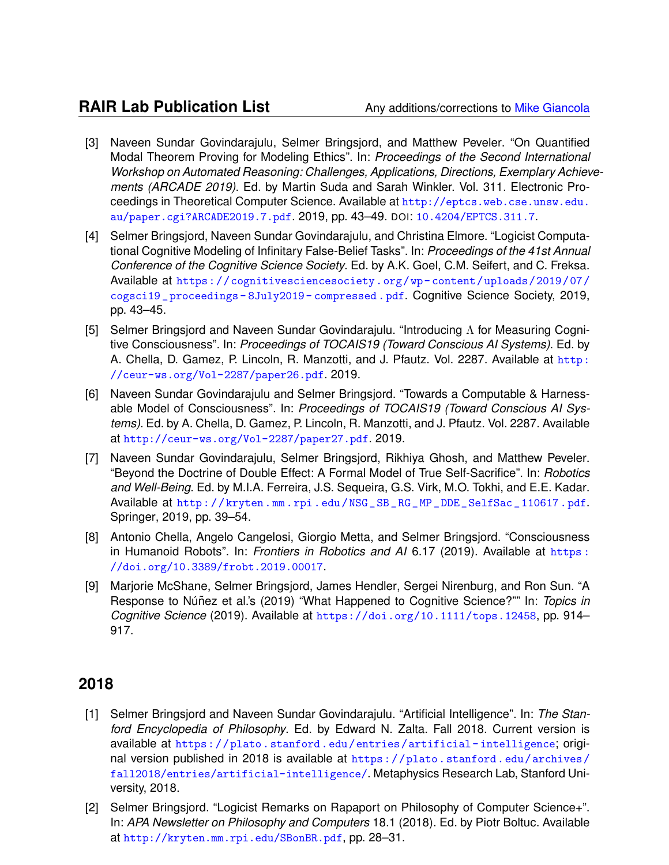- [3] Naveen Sundar Govindarajulu, Selmer Bringsjord, and Matthew Peveler. "On Quantified Modal Theorem Proving for Modeling Ethics". In: *Proceedings of the Second International Workshop on Automated Reasoning: Challenges, Applications, Directions, Exemplary Achievements (ARCADE 2019)*. Ed. by Martin Suda and Sarah Winkler. Vol. 311. Electronic Proceedings in Theoretical Computer Science. Available at [http://eptcs.web.cse.unsw.edu.](http://eptcs.web.cse.unsw.edu.au/paper.cgi?ARCADE2019.7.pdf) [au/paper.cgi?ARCADE2019.7.pdf](http://eptcs.web.cse.unsw.edu.au/paper.cgi?ARCADE2019.7.pdf). 2019, pp. 43–49. DOI: [10.4204/EPTCS.311.7](https://doi.org/10.4204/EPTCS.311.7).
- [4] Selmer Bringsjord, Naveen Sundar Govindarajulu, and Christina Elmore. "Logicist Computational Cognitive Modeling of Infinitary False-Belief Tasks". In: *Proceedings of the 41st Annual Conference of the Cognitive Science Society*. Ed. by A.K. Goel, C.M. Seifert, and C. Freksa. Available at [https://cognitivesciencesociety.org/wp- content/uploads/2019/07/](https://cognitivesciencesociety.org/wp-content/uploads/2019/07/cogsci19_proceedings-8July2019-compressed.pdf) [cogsci19 \\_ proceedings - 8July2019 - compressed . pdf](https://cognitivesciencesociety.org/wp-content/uploads/2019/07/cogsci19_proceedings-8July2019-compressed.pdf). Cognitive Science Society, 2019, pp. 43–45.
- [5] Selmer Bringsjord and Naveen Sundar Govindarajulu. "Introducing Λ for Measuring Cognitive Consciousness". In: *Proceedings of TOCAIS19 (Toward Conscious AI Systems)*. Ed. by A. Chella, D. Gamez, P. Lincoln, R. Manzotti, and J. Pfautz. Vol. 2287. Available at [http:](http://ceur-ws.org/Vol-2287/paper26.pdf) [//ceur-ws.org/Vol-2287/paper26.pdf](http://ceur-ws.org/Vol-2287/paper26.pdf). 2019.
- [6] Naveen Sundar Govindarajulu and Selmer Bringsjord. "Towards a Computable & Harnessable Model of Consciousness". In: *Proceedings of TOCAIS19 (Toward Conscious AI Systems)*. Ed. by A. Chella, D. Gamez, P. Lincoln, R. Manzotti, and J. Pfautz. Vol. 2287. Available at <http://ceur-ws.org/Vol-2287/paper27.pdf>. 2019.
- [7] Naveen Sundar Govindarajulu, Selmer Bringsjord, Rikhiya Ghosh, and Matthew Peveler. "Beyond the Doctrine of Double Effect: A Formal Model of True Self-Sacrifice". In: *Robotics and Well-Being*. Ed. by M.I.A. Ferreira, J.S. Sequeira, G.S. Virk, M.O. Tokhi, and E.E. Kadar. Available at [http : / / kryten . mm . rpi . edu / NSG \\_ SB \\_ RG \\_ MP \\_ DDE \\_ SelfSac \\_ 110617 . pdf](http://kryten.mm.rpi.edu/NSG_SB_RG_MP_DDE_SelfSac_110617.pdf). Springer, 2019, pp. 39–54.
- [8] Antonio Chella, Angelo Cangelosi, Giorgio Metta, and Selmer Bringsjord. "Consciousness in Humanoid Robots". In: *Frontiers in Robotics and AI* 6.17 (2019). Available at [https :](https://doi.org/10.3389/frobt.2019.00017) [//doi.org/10.3389/frobt.2019.00017](https://doi.org/10.3389/frobt.2019.00017).
- [9] Marjorie McShane, Selmer Bringsjord, James Hendler, Sergei Nirenburg, and Ron Sun. "A Response to Núñez et al.'s (2019) "What Happened to Cognitive Science?"" In: Topics in *Cognitive Science* (2019). Available at <https://doi.org/10.1111/tops.12458>, pp. 914– 917.

- [1] Selmer Bringsjord and Naveen Sundar Govindarajulu. "Artificial Intelligence". In: *The Stanford Encyclopedia of Philosophy*. Ed. by Edward N. Zalta. Fall 2018. Current version is available at [https://plato.stanford.edu/entries/artificial- intelligence](https://plato.stanford.edu/entries/artificial-intelligence); original version published in 2018 is available at [https://plato.stanford.edu/archives/](https://plato.stanford.edu/archives/fall2018/entries/artificial-intelligence/) [fall2018/entries/artificial-intelligence/](https://plato.stanford.edu/archives/fall2018/entries/artificial-intelligence/). Metaphysics Research Lab, Stanford University, 2018.
- [2] Selmer Bringsjord. "Logicist Remarks on Rapaport on Philosophy of Computer Science+". In: *APA Newsletter on Philosophy and Computers* 18.1 (2018). Ed. by Piotr Boltuc. Available at <http://kryten.mm.rpi.edu/SBonBR.pdf>, pp. 28–31.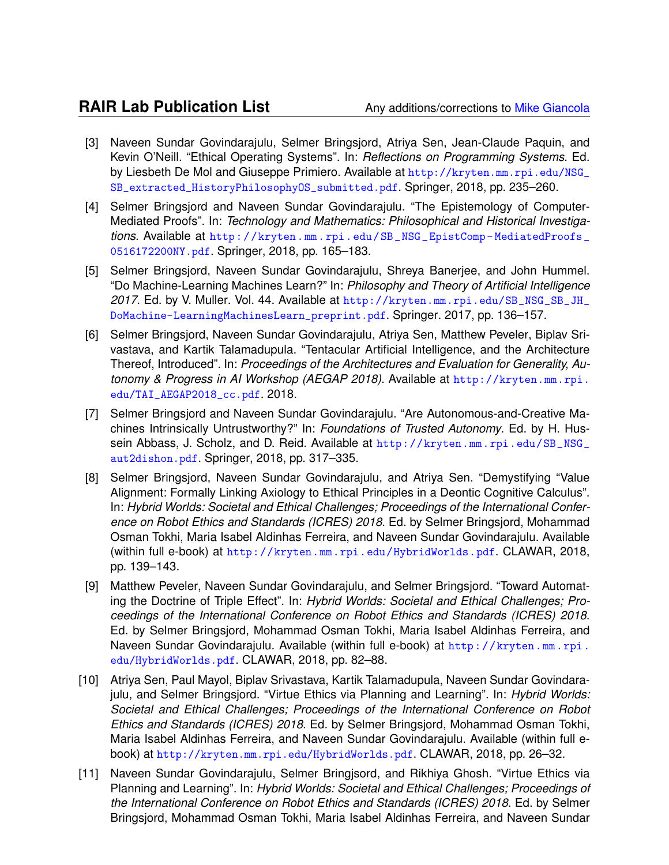- [3] Naveen Sundar Govindarajulu, Selmer Bringsjord, Atriya Sen, Jean-Claude Paquin, and Kevin O'Neill. "Ethical Operating Systems". In: *Reflections on Programming Systems*. Ed. by Liesbeth De Mol and Giuseppe Primiero. Available at [http://kryten.mm.rpi.edu/NSG\\_](http://kryten.mm.rpi.edu/NSG_SB_extracted_HistoryPhilosophyOS_submitted.pdf) [SB\\_extracted\\_HistoryPhilosophyOS\\_submitted.pdf](http://kryten.mm.rpi.edu/NSG_SB_extracted_HistoryPhilosophyOS_submitted.pdf). Springer, 2018, pp. 235–260.
- [4] Selmer Bringsjord and Naveen Sundar Govindarajulu. "The Epistemology of Computer-Mediated Proofs". In: *Technology and Mathematics: Philosophical and Historical Investigations*. Available at [http://kryten.mm.rpi.edu/SB\\_NSG\\_EpistComp- MediatedProofs\\_](http://kryten.mm.rpi.edu/SB_NSG_EpistComp-MediatedProofs_0516172200NY.pdf) [0516172200NY.pdf](http://kryten.mm.rpi.edu/SB_NSG_EpistComp-MediatedProofs_0516172200NY.pdf). Springer, 2018, pp. 165–183.
- [5] Selmer Bringsjord, Naveen Sundar Govindarajulu, Shreya Banerjee, and John Hummel. "Do Machine-Learning Machines Learn?" In: *Philosophy and Theory of Artificial Intelligence 2017*. Ed. by V. Muller. Vol. 44. Available at [http://kryten.mm.rpi.edu/SB\\_NSG\\_SB\\_JH\\_](http://kryten.mm.rpi.edu/SB_NSG_SB_JH_DoMachine-LearningMachinesLearn_preprint.pdf) [DoMachine-LearningMachinesLearn\\_preprint.pdf](http://kryten.mm.rpi.edu/SB_NSG_SB_JH_DoMachine-LearningMachinesLearn_preprint.pdf). Springer. 2017, pp. 136–157.
- [6] Selmer Bringsjord, Naveen Sundar Govindarajulu, Atriya Sen, Matthew Peveler, Biplav Srivastava, and Kartik Talamadupula. "Tentacular Artificial Intelligence, and the Architecture Thereof, Introduced". In: *Proceedings of the Architectures and Evaluation for Generality, Autonomy & Progress in AI Workshop (AEGAP 2018)*. Available at [http://kryten.mm.rpi.](http://kryten.mm.rpi.edu/TAI_AEGAP2018_cc.pdf) [edu/TAI\\_AEGAP2018\\_cc.pdf](http://kryten.mm.rpi.edu/TAI_AEGAP2018_cc.pdf). 2018.
- [7] Selmer Bringsjord and Naveen Sundar Govindarajulu. "Are Autonomous-and-Creative Machines Intrinsically Untrustworthy?" In: *Foundations of Trusted Autonomy*. Ed. by H. Hussein Abbass, J. Scholz, and D. Reid. Available at [http://kryten.mm.rpi.edu/SB\\_NSG\\_](http://kryten.mm.rpi.edu/SB_NSG_aut2dishon.pdf) [aut2dishon.pdf](http://kryten.mm.rpi.edu/SB_NSG_aut2dishon.pdf). Springer, 2018, pp. 317–335.
- [8] Selmer Bringsjord, Naveen Sundar Govindarajulu, and Atriya Sen. "Demystifying "Value Alignment: Formally Linking Axiology to Ethical Principles in a Deontic Cognitive Calculus". In: *Hybrid Worlds: Societal and Ethical Challenges; Proceedings of the International Conference on Robot Ethics and Standards (ICRES) 2018*. Ed. by Selmer Bringsjord, Mohammad Osman Tokhi, Maria Isabel Aldinhas Ferreira, and Naveen Sundar Govindarajulu. Available (within full e-book) at <http://kryten.mm.rpi.edu/HybridWorlds.pdf>. CLAWAR, 2018, pp. 139–143.
- [9] Matthew Peveler, Naveen Sundar Govindarajulu, and Selmer Bringsjord. "Toward Automating the Doctrine of Triple Effect". In: *Hybrid Worlds: Societal and Ethical Challenges; Proceedings of the International Conference on Robot Ethics and Standards (ICRES) 2018*. Ed. by Selmer Bringsjord, Mohammad Osman Tokhi, Maria Isabel Aldinhas Ferreira, and Naveen Sundar Govindarajulu. Available (within full e-book) at [http://kryten.mm.rpi.](http://kryten.mm.rpi.edu/HybridWorlds.pdf) [edu/HybridWorlds.pdf](http://kryten.mm.rpi.edu/HybridWorlds.pdf). CLAWAR, 2018, pp. 82–88.
- [10] Atriya Sen, Paul Mayol, Biplav Srivastava, Kartik Talamadupula, Naveen Sundar Govindarajulu, and Selmer Bringsjord. "Virtue Ethics via Planning and Learning". In: *Hybrid Worlds: Societal and Ethical Challenges; Proceedings of the International Conference on Robot Ethics and Standards (ICRES) 2018*. Ed. by Selmer Bringsjord, Mohammad Osman Tokhi, Maria Isabel Aldinhas Ferreira, and Naveen Sundar Govindarajulu. Available (within full ebook) at <http://kryten.mm.rpi.edu/HybridWorlds.pdf>. CLAWAR, 2018, pp. 26–32.
- [11] Naveen Sundar Govindarajulu, Selmer Bringjsord, and Rikhiya Ghosh. "Virtue Ethics via Planning and Learning". In: *Hybrid Worlds: Societal and Ethical Challenges; Proceedings of the International Conference on Robot Ethics and Standards (ICRES) 2018*. Ed. by Selmer Bringsjord, Mohammad Osman Tokhi, Maria Isabel Aldinhas Ferreira, and Naveen Sundar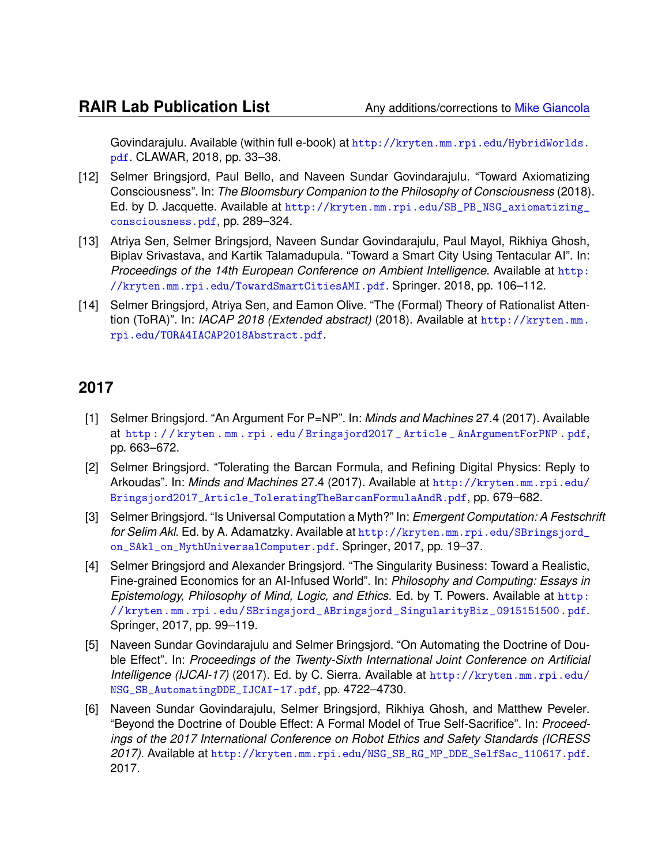Govindarajulu. Available (within full e-book) at [http://kryten.mm.rpi.edu/HybridWorlds.](http://kryten.mm.rpi.edu/HybridWorlds.pdf) [pdf](http://kryten.mm.rpi.edu/HybridWorlds.pdf). CLAWAR, 2018, pp. 33–38.

- [12] Selmer Bringsjord, Paul Bello, and Naveen Sundar Govindarajulu. "Toward Axiomatizing Consciousness". In: *The Bloomsbury Companion to the Philosophy of Consciousness* (2018). Ed. by D. Jacquette. Available at [http://kryten.mm.rpi.edu/SB\\_PB\\_NSG\\_axiomatizing\\_](http://kryten.mm.rpi.edu/SB_PB_NSG_axiomatizing_consciousness.pdf) [consciousness.pdf](http://kryten.mm.rpi.edu/SB_PB_NSG_axiomatizing_consciousness.pdf), pp. 289–324.
- [13] Atriya Sen, Selmer Bringsjord, Naveen Sundar Govindarajulu, Paul Mayol, Rikhiya Ghosh, Biplav Srivastava, and Kartik Talamadupula. "Toward a Smart City Using Tentacular AI". In: *Proceedings of the 14th European Conference on Ambient Intelligence*. Available at [http:](http://kryten.mm.rpi.edu/TowardSmartCitiesAMI.pdf) [//kryten.mm.rpi.edu/TowardSmartCitiesAMI.pdf](http://kryten.mm.rpi.edu/TowardSmartCitiesAMI.pdf). Springer. 2018, pp. 106–112.
- [14] Selmer Bringsjord, Atriya Sen, and Eamon Olive. "The (Formal) Theory of Rationalist Attention (ToRA)". In: *IACAP 2018 (Extended abstract)* (2018). Available at [http://kryten.mm.](http://kryten.mm.rpi.edu/TORA4IACAP2018Abstract.pdf) [rpi.edu/TORA4IACAP2018Abstract.pdf](http://kryten.mm.rpi.edu/TORA4IACAP2018Abstract.pdf).

- [1] Selmer Bringsjord. "An Argument For P=NP". In: *Minds and Machines* 27.4 (2017). Available at [http : / / kryten . mm . rpi . edu / Bringsjord2017 \\_ Article \\_ AnArgumentForPNP . pdf](http://kryten.mm.rpi.edu/Bringsjord2017_Article_AnArgumentForPNP.pdf), pp. 663–672.
- [2] Selmer Bringsjord. "Tolerating the Barcan Formula, and Refining Digital Physics: Reply to Arkoudas". In: *Minds and Machines* 27.4 (2017). Available at [http://kryten.mm.rpi.edu/](http://kryten.mm.rpi.edu/Bringsjord2017_Article_ToleratingTheBarcanFormulaAndR.pdf) [Bringsjord2017\\_Article\\_ToleratingTheBarcanFormulaAndR.pdf](http://kryten.mm.rpi.edu/Bringsjord2017_Article_ToleratingTheBarcanFormulaAndR.pdf), pp. 679–682.
- [3] Selmer Bringsjord. "Is Universal Computation a Myth?" In: *Emergent Computation: A Festschrift for Selim Akl*. Ed. by A. Adamatzky. Available at [http://kryten.mm.rpi.edu/SBringsjord\\_](http://kryten.mm.rpi.edu/SBringsjord_on_SAkl_on_MythUniversalComputer.pdf) [on\\_SAkl\\_on\\_MythUniversalComputer.pdf](http://kryten.mm.rpi.edu/SBringsjord_on_SAkl_on_MythUniversalComputer.pdf). Springer, 2017, pp. 19–37.
- [4] Selmer Bringsjord and Alexander Bringsjord. "The Singularity Business: Toward a Realistic, Fine-grained Economics for an AI-Infused World". In: *Philosophy and Computing: Essays in Epistemology, Philosophy of Mind, Logic, and Ethics*. Ed. by T. Powers. Available at [http:](http://kryten.mm.rpi.edu/SBringsjord_ABringsjord_SingularityBiz_0915151500.pdf) [//kryten.mm.rpi.edu/SBringsjord\\_ABringsjord\\_SingularityBiz\\_0915151500.pdf](http://kryten.mm.rpi.edu/SBringsjord_ABringsjord_SingularityBiz_0915151500.pdf). Springer, 2017, pp. 99–119.
- [5] Naveen Sundar Govindarajulu and Selmer Bringsjord. "On Automating the Doctrine of Double Effect". In: *Proceedings of the Twenty-Sixth International Joint Conference on Artificial Intelligence (IJCAI-17)* (2017). Ed. by C. Sierra. Available at [http://kryten.mm.rpi.edu/](http://kryten.mm.rpi.edu/NSG_SB_AutomatingDDE_IJCAI-17.pdf) [NSG\\_SB\\_AutomatingDDE\\_IJCAI-17.pdf](http://kryten.mm.rpi.edu/NSG_SB_AutomatingDDE_IJCAI-17.pdf), pp. 4722–4730.
- [6] Naveen Sundar Govindarajulu, Selmer Bringsjord, Rikhiya Ghosh, and Matthew Peveler. "Beyond the Doctrine of Double Effect: A Formal Model of True Self-Sacrifice". In: *Proceedings of the 2017 International Conference on Robot Ethics and Safety Standards (ICRESS 2017)*. Available at [http://kryten.mm.rpi.edu/NSG\\_SB\\_RG\\_MP\\_DDE\\_SelfSac\\_110617.pdf](http://kryten.mm.rpi.edu/NSG_SB_RG_MP_DDE_SelfSac_110617.pdf). 2017.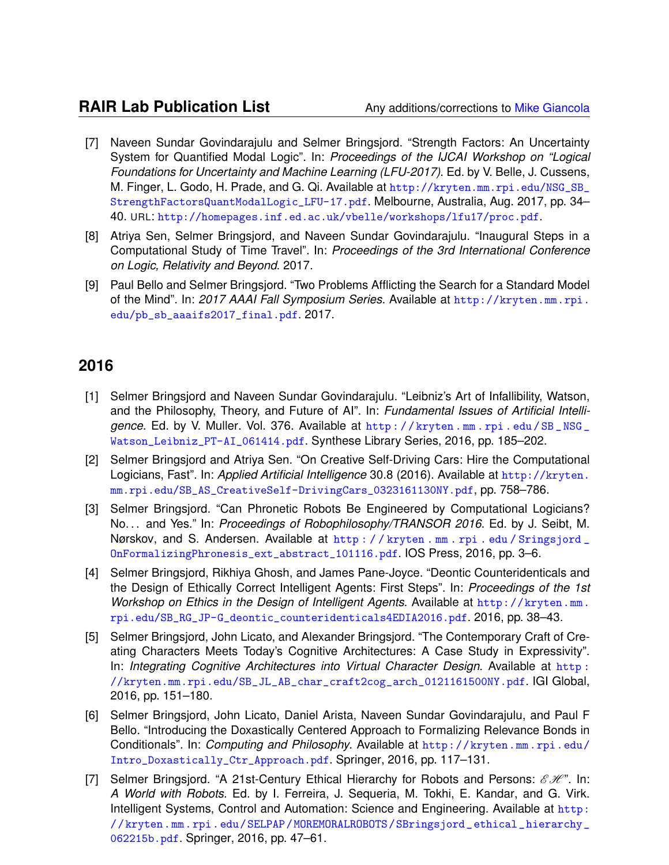- [7] Naveen Sundar Govindarajulu and Selmer Bringsjord. "Strength Factors: An Uncertainty System for Quantified Modal Logic". In: *Proceedings of the IJCAI Workshop on "Logical Foundations for Uncertainty and Machine Learning (LFU-2017)*. Ed. by V. Belle, J. Cussens, M. Finger, L. Godo, H. Prade, and G. Qi. Available at [http://kryten.mm.rpi.edu/NSG\\_SB\\_](http://kryten.mm.rpi.edu/NSG_SB_StrengthFactorsQuantModalLogic_LFU-17.pdf) [StrengthFactorsQuantModalLogic\\_LFU-17.pdf](http://kryten.mm.rpi.edu/NSG_SB_StrengthFactorsQuantModalLogic_LFU-17.pdf). Melbourne, Australia, Aug. 2017, pp. 34– 40. URL: <http://homepages.inf.ed.ac.uk/vbelle/workshops/lfu17/proc.pdf>.
- [8] Atriya Sen, Selmer Bringsjord, and Naveen Sundar Govindarajulu. "Inaugural Steps in a Computational Study of Time Travel". In: *Proceedings of the 3rd International Conference on Logic, Relativity and Beyond*. 2017.
- [9] Paul Bello and Selmer Bringsjord. "Two Problems Afflicting the Search for a Standard Model of the Mind". In: *2017 AAAI Fall Symposium Series*. Available at [http://kryten.mm.rpi.](http://kryten.mm.rpi.edu/pb_sb_aaaifs2017_final.pdf) [edu/pb\\_sb\\_aaaifs2017\\_final.pdf](http://kryten.mm.rpi.edu/pb_sb_aaaifs2017_final.pdf). 2017.

- [1] Selmer Bringsjord and Naveen Sundar Govindarajulu. "Leibniz's Art of Infallibility, Watson, and the Philosophy, Theory, and Future of AI". In: *Fundamental Issues of Artificial Intelligence*. Ed. by V. Muller. Vol. 376. Available at [http : / / kryten . mm . rpi . edu / SB \\_ NSG \\_](http://kryten.mm.rpi.edu/SB_NSG_Watson_Leibniz_PT-AI_061414.pdf) [Watson\\_Leibniz\\_PT-AI\\_061414.pdf](http://kryten.mm.rpi.edu/SB_NSG_Watson_Leibniz_PT-AI_061414.pdf). Synthese Library Series, 2016, pp. 185–202.
- [2] Selmer Bringsjord and Atriya Sen. "On Creative Self-Driving Cars: Hire the Computational Logicians, Fast". In: *Applied Artificial Intelligence* 30.8 (2016). Available at [http://kryten.](http://kryten.mm.rpi.edu/SB_AS_CreativeSelf-DrivingCars_0323161130NY.pdf) [mm.rpi.edu/SB\\_AS\\_CreativeSelf-DrivingCars\\_0323161130NY.pdf](http://kryten.mm.rpi.edu/SB_AS_CreativeSelf-DrivingCars_0323161130NY.pdf), pp. 758–786.
- [3] Selmer Bringsjord. "Can Phronetic Robots Be Engineered by Computational Logicians? No. . . and Yes." In: *Proceedings of Robophilosophy/TRANSOR 2016*. Ed. by J. Seibt, M. Nørskov, and S. Andersen. Available at [http : / / kryten . mm . rpi . edu / Sringsjord \\_](http://kryten.mm.rpi.edu/Sringsjord_OnFormalizingPhronesis_ext_abstract_101116.pdf) [OnFormalizingPhronesis\\_ext\\_abstract\\_101116.pdf](http://kryten.mm.rpi.edu/Sringsjord_OnFormalizingPhronesis_ext_abstract_101116.pdf). IOS Press, 2016, pp. 3–6.
- [4] Selmer Bringsjord, Rikhiya Ghosh, and James Pane-Joyce. "Deontic Counteridenticals and the Design of Ethically Correct Intelligent Agents: First Steps". In: *Proceedings of the 1st Workshop on Ethics in the Design of Intelligent Agents*. Available at [http://kryten.mm.](http://kryten.mm.rpi.edu/SB_RG_JP-G_deontic_counteridenticals4EDIA2016.pdf) [rpi.edu/SB\\_RG\\_JP-G\\_deontic\\_counteridenticals4EDIA2016.pdf](http://kryten.mm.rpi.edu/SB_RG_JP-G_deontic_counteridenticals4EDIA2016.pdf). 2016, pp. 38–43.
- [5] Selmer Bringsjord, John Licato, and Alexander Bringsjord. "The Contemporary Craft of Creating Characters Meets Today's Cognitive Architectures: A Case Study in Expressivity". In: *Integrating Cognitive Architectures into Virtual Character Design*. Available at [http :](http://kryten.mm.rpi.edu/SB_JL_AB_char_craft2cog_arch_0121161500NY.pdf) [//kryten.mm.rpi.edu/SB\\_JL\\_AB\\_char\\_craft2cog\\_arch\\_0121161500NY.pdf](http://kryten.mm.rpi.edu/SB_JL_AB_char_craft2cog_arch_0121161500NY.pdf). IGI Global, 2016, pp. 151–180.
- [6] Selmer Bringsjord, John Licato, Daniel Arista, Naveen Sundar Govindarajulu, and Paul F Bello. "Introducing the Doxastically Centered Approach to Formalizing Relevance Bonds in Conditionals". In: *Computing and Philosophy*. Available at [http://kryten.mm.rpi.edu/](http://kryten.mm.rpi.edu/Intro_Doxastically_Ctr_Approach.pdf) [Intro\\_Doxastically\\_Ctr\\_Approach.pdf](http://kryten.mm.rpi.edu/Intro_Doxastically_Ctr_Approach.pdf). Springer, 2016, pp. 117–131.
- [7] Selmer Bringsjord. "A 21st-Century Ethical Hierarchy for Robots and Persons:  $\mathscr{EH}$ ". In: *A World with Robots*. Ed. by I. Ferreira, J. Sequeria, M. Tokhi, E. Kandar, and G. Virk. Intelligent Systems, Control and Automation: Science and Engineering. Available at [http:](http://kryten.mm.rpi.edu/SELPAP/MOREMORALROBOTS/SBringsjord_ethical_hierarchy_062215b.pdf) [//kryten.mm.rpi.edu/SELPAP/MOREMORALROBOTS/SBringsjord\\_ethical\\_hierarchy\\_](http://kryten.mm.rpi.edu/SELPAP/MOREMORALROBOTS/SBringsjord_ethical_hierarchy_062215b.pdf) [062215b.pdf](http://kryten.mm.rpi.edu/SELPAP/MOREMORALROBOTS/SBringsjord_ethical_hierarchy_062215b.pdf). Springer, 2016, pp. 47–61.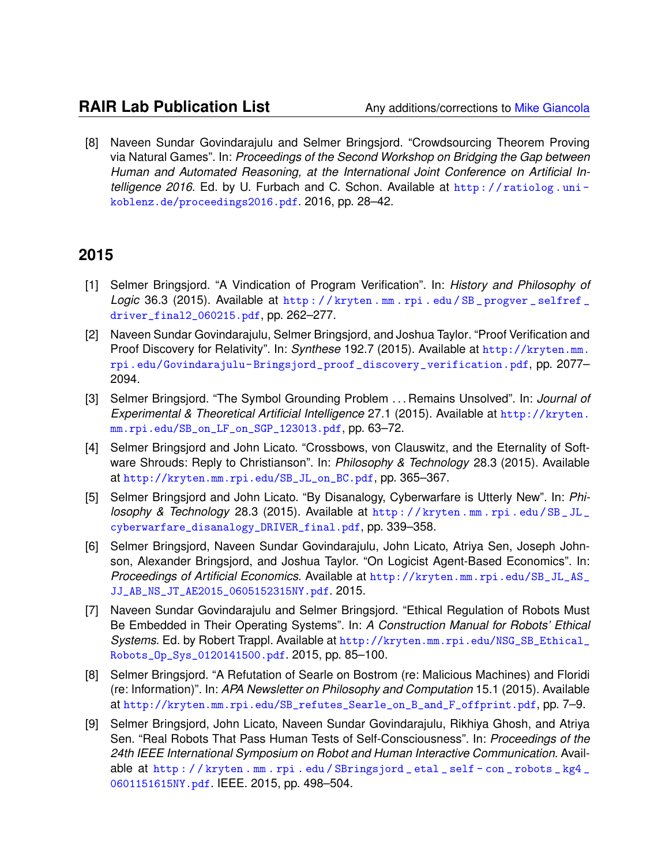[8] Naveen Sundar Govindarajulu and Selmer Bringsjord. "Crowdsourcing Theorem Proving via Natural Games". In: *Proceedings of the Second Workshop on Bridging the Gap between Human and Automated Reasoning, at the International Joint Conference on Artificial Intelligence 2016*. Ed. by U. Furbach and C. Schon. Available at [http : / / ratiolog . uni](http://ratiolog.uni-koblenz.de/proceedings2016.pdf)  [koblenz.de/proceedings2016.pdf](http://ratiolog.uni-koblenz.de/proceedings2016.pdf). 2016, pp. 28–42.

- [1] Selmer Bringsjord. "A Vindication of Program Verification". In: *History and Philosophy of Logic* 36.3 (2015). Available at [http : / / kryten . mm . rpi . edu / SB \\_ progver \\_ selfref \\_](http://kryten.mm.rpi.edu/SB_progver_selfref_driver_final2_060215.pdf) [driver\\_final2\\_060215.pdf](http://kryten.mm.rpi.edu/SB_progver_selfref_driver_final2_060215.pdf), pp. 262–277.
- [2] Naveen Sundar Govindarajulu, Selmer Bringsjord, and Joshua Taylor. "Proof Verification and Proof Discovery for Relativity". In: *Synthese* 192.7 (2015). Available at [http://kryten.mm.](http://kryten.mm.rpi.edu/Govindarajulu-Bringsjord_proof_discovery_verification.pdf) [rpi.edu/Govindarajulu- Bringsjord\\_proof\\_discovery\\_verification.pdf](http://kryten.mm.rpi.edu/Govindarajulu-Bringsjord_proof_discovery_verification.pdf), pp. 2077– 2094.
- [3] Selmer Bringsjord. "The Symbol Grounding Problem . . . Remains Unsolved". In: *Journal of Experimental & Theoretical Artificial Intelligence* 27.1 (2015). Available at [http://kryten.](http://kryten.mm.rpi.edu/SB_on_LF_on_SGP_123013.pdf) [mm.rpi.edu/SB\\_on\\_LF\\_on\\_SGP\\_123013.pdf](http://kryten.mm.rpi.edu/SB_on_LF_on_SGP_123013.pdf), pp. 63–72.
- [4] Selmer Bringsjord and John Licato. "Crossbows, von Clauswitz, and the Eternality of Software Shrouds: Reply to Christianson". In: *Philosophy & Technology* 28.3 (2015). Available at [http://kryten.mm.rpi.edu/SB\\_JL\\_on\\_BC.pdf](http://kryten.mm.rpi.edu/SB_JL_on_BC.pdf), pp. 365–367.
- [5] Selmer Bringsjord and John Licato. "By Disanalogy, Cyberwarfare is Utterly New". In: *Philosophy & Technology* 28.3 (2015). Available at [http : / / kryten . mm . rpi . edu / SB \\_ JL \\_](http://kryten.mm.rpi.edu/SB_JL_cyberwarfare_disanalogy_DRIVER_final.pdf) [cyberwarfare\\_disanalogy\\_DRIVER\\_final.pdf](http://kryten.mm.rpi.edu/SB_JL_cyberwarfare_disanalogy_DRIVER_final.pdf), pp. 339–358.
- [6] Selmer Bringsjord, Naveen Sundar Govindarajulu, John Licato, Atriya Sen, Joseph Johnson, Alexander Bringsjord, and Joshua Taylor. "On Logicist Agent-Based Economics". In: *Proceedings of Artificial Economics*. Available at [http://kryten.mm.rpi.edu/SB\\_JL\\_AS\\_](http://kryten.mm.rpi.edu/SB_JL_AS_JJ_AB_NS_JT_AE2015_0605152315NY.pdf) [JJ\\_AB\\_NS\\_JT\\_AE2015\\_0605152315NY.pdf](http://kryten.mm.rpi.edu/SB_JL_AS_JJ_AB_NS_JT_AE2015_0605152315NY.pdf). 2015.
- [7] Naveen Sundar Govindarajulu and Selmer Bringsjord. "Ethical Regulation of Robots Must Be Embedded in Their Operating Systems". In: *A Construction Manual for Robots' Ethical Systems*. Ed. by Robert Trappl. Available at [http://kryten.mm.rpi.edu/NSG\\_SB\\_Ethical\\_](http://kryten.mm.rpi.edu/NSG_SB_Ethical_Robots_Op_Sys_0120141500.pdf) [Robots\\_Op\\_Sys\\_0120141500.pdf](http://kryten.mm.rpi.edu/NSG_SB_Ethical_Robots_Op_Sys_0120141500.pdf). 2015, pp. 85–100.
- [8] Selmer Bringsjord. "A Refutation of Searle on Bostrom (re: Malicious Machines) and Floridi (re: Information)". In: *APA Newsletter on Philosophy and Computation* 15.1 (2015). Available at [http://kryten.mm.rpi.edu/SB\\_refutes\\_Searle\\_on\\_B\\_and\\_F\\_offprint.pdf](http://kryten.mm.rpi.edu/SB_refutes_Searle_on_B_and_F_offprint.pdf), pp. 7–9.
- [9] Selmer Bringsjord, John Licato, Naveen Sundar Govindarajulu, Rikhiya Ghosh, and Atriya Sen. "Real Robots That Pass Human Tests of Self-Consciousness". In: *Proceedings of the 24th IEEE International Symposium on Robot and Human Interactive Communication*. Available at [http : / / kryten . mm . rpi . edu / SBringsjord \\_ etal \\_ self - con \\_ robots \\_ kg4 \\_](http://kryten.mm.rpi.edu/SBringsjord_etal_self-con_robots_kg4_0601151615NY.pdf) [0601151615NY.pdf](http://kryten.mm.rpi.edu/SBringsjord_etal_self-con_robots_kg4_0601151615NY.pdf). IEEE. 2015, pp. 498–504.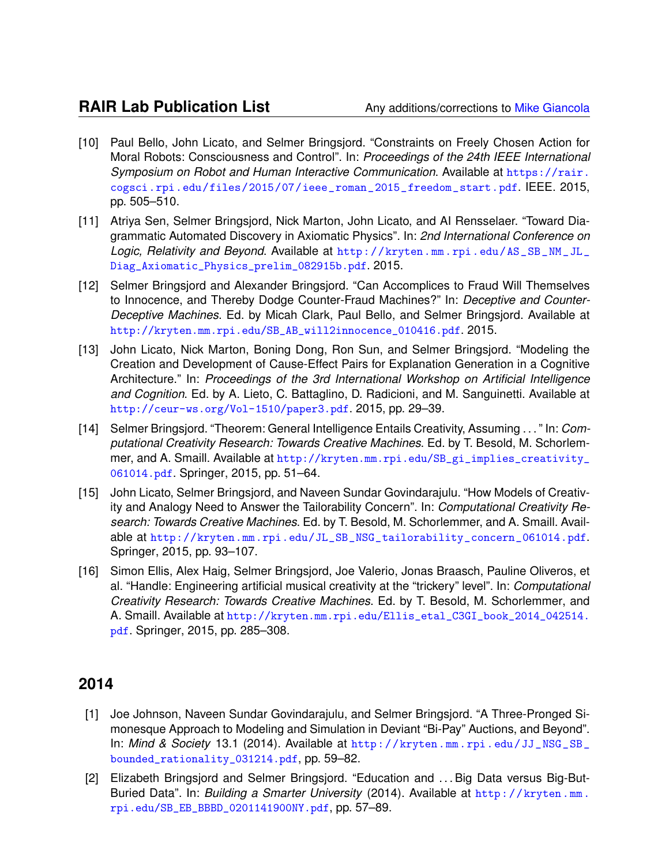- [10] Paul Bello, John Licato, and Selmer Bringsjord. "Constraints on Freely Chosen Action for Moral Robots: Consciousness and Control". In: *Proceedings of the 24th IEEE International Symposium on Robot and Human Interactive Communication*. Available at [https://rair.](https://rair.cogsci.rpi.edu/files/2015/07/ieee_roman_2015_freedom_start.pdf) [cogsci.rpi.edu/files/2015/07/ieee\\_roman\\_2015\\_freedom\\_start.pdf](https://rair.cogsci.rpi.edu/files/2015/07/ieee_roman_2015_freedom_start.pdf). IEEE. 2015, pp. 505–510.
- [11] Atriya Sen, Selmer Bringsjord, Nick Marton, John Licato, and AI Rensselaer. "Toward Diagrammatic Automated Discovery in Axiomatic Physics". In: *2nd International Conference on Logic, Relativity and Beyond*. Available at [http://kryten.mm.rpi.edu/AS\\_SB\\_NM\\_JL\\_](http://kryten.mm.rpi.edu/AS_SB_NM_JL_Diag_Axiomatic_Physics_prelim_082915b.pdf) [Diag\\_Axiomatic\\_Physics\\_prelim\\_082915b.pdf](http://kryten.mm.rpi.edu/AS_SB_NM_JL_Diag_Axiomatic_Physics_prelim_082915b.pdf). 2015.
- [12] Selmer Bringsjord and Alexander Bringsjord. "Can Accomplices to Fraud Will Themselves to Innocence, and Thereby Dodge Counter-Fraud Machines?" In: *Deceptive and Counter-Deceptive Machines*. Ed. by Micah Clark, Paul Bello, and Selmer Bringsjord. Available at [http://kryten.mm.rpi.edu/SB\\_AB\\_will2innocence\\_010416.pdf](http://kryten.mm.rpi.edu/SB_AB_will2innocence_010416.pdf). 2015.
- [13] John Licato, Nick Marton, Boning Dong, Ron Sun, and Selmer Bringsjord. "Modeling the Creation and Development of Cause-Effect Pairs for Explanation Generation in a Cognitive Architecture." In: *Proceedings of the 3rd International Workshop on Artificial Intelligence and Cognition*. Ed. by A. Lieto, C. Battaglino, D. Radicioni, and M. Sanguinetti. Available at <http://ceur-ws.org/Vol-1510/paper3.pdf>. 2015, pp. 29–39.
- [14] Selmer Bringsjord. "Theorem: General Intelligence Entails Creativity, Assuming . . . " In: *Computational Creativity Research: Towards Creative Machines*. Ed. by T. Besold, M. Schorlemmer, and A. Smaill. Available at [http://kryten.mm.rpi.edu/SB\\_gi\\_implies\\_creativity\\_](http://kryten.mm.rpi.edu/SB_gi_implies_creativity_061014.pdf) [061014.pdf](http://kryten.mm.rpi.edu/SB_gi_implies_creativity_061014.pdf). Springer, 2015, pp. 51–64.
- [15] John Licato, Selmer Bringsjord, and Naveen Sundar Govindarajulu. "How Models of Creativity and Analogy Need to Answer the Tailorability Concern". In: *Computational Creativity Research: Towards Creative Machines*. Ed. by T. Besold, M. Schorlemmer, and A. Smaill. Available at [http://kryten.mm.rpi.edu/JL\\_SB\\_NSG\\_tailorability\\_concern\\_061014.pdf](http://kryten.mm.rpi.edu/JL_SB_NSG_tailorability_concern_061014.pdf). Springer, 2015, pp. 93–107.
- [16] Simon Ellis, Alex Haig, Selmer Bringsjord, Joe Valerio, Jonas Braasch, Pauline Oliveros, et al. "Handle: Engineering artificial musical creativity at the "trickery" level". In: *Computational Creativity Research: Towards Creative Machines*. Ed. by T. Besold, M. Schorlemmer, and A. Smaill. Available at [http://kryten.mm.rpi.edu/Ellis\\_etal\\_C3GI\\_book\\_2014\\_042514.](http://kryten.mm.rpi.edu/Ellis_etal_C3GI_book_2014_042514.pdf) [pdf](http://kryten.mm.rpi.edu/Ellis_etal_C3GI_book_2014_042514.pdf). Springer, 2015, pp. 285–308.

- [1] Joe Johnson, Naveen Sundar Govindarajulu, and Selmer Bringsjord. "A Three-Pronged Simonesque Approach to Modeling and Simulation in Deviant "Bi-Pay" Auctions, and Beyond". In: *Mind & Society* 13.1 (2014). Available at [http://kryten.mm.rpi.edu/JJ\\_NSG\\_SB\\_](http://kryten.mm.rpi.edu/JJ_NSG_SB_bounded_rationality_031214.pdf) [bounded\\_rationality\\_031214.pdf](http://kryten.mm.rpi.edu/JJ_NSG_SB_bounded_rationality_031214.pdf), pp. 59–82.
- [2] Elizabeth Bringsjord and Selmer Bringsjord. "Education and ... Big Data versus Big-But-Buried Data". In: *Building a Smarter University* (2014). Available at [http://kryten.mm.](http://kryten.mm.rpi.edu/SB_EB_BBBD_0201141900NY.pdf) [rpi.edu/SB\\_EB\\_BBBD\\_0201141900NY.pdf](http://kryten.mm.rpi.edu/SB_EB_BBBD_0201141900NY.pdf), pp. 57–89.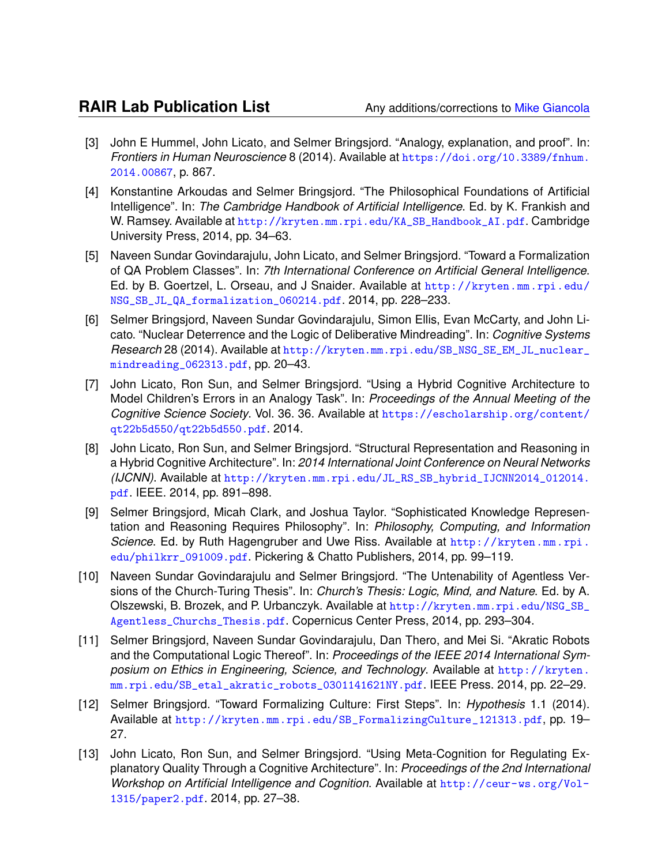- [3] John E Hummel, John Licato, and Selmer Bringsjord. "Analogy, explanation, and proof". In: *Frontiers in Human Neuroscience* 8 (2014). Available at [https://doi.org/10.3389/fnhum.](https://doi.org/10.3389/fnhum.2014.00867) [2014.00867](https://doi.org/10.3389/fnhum.2014.00867), p. 867.
- [4] Konstantine Arkoudas and Selmer Bringsjord. "The Philosophical Foundations of Artificial Intelligence". In: *The Cambridge Handbook of Artificial Intelligence*. Ed. by K. Frankish and W. Ramsey. Available at [http://kryten.mm.rpi.edu/KA\\_SB\\_Handbook\\_AI.pdf](http://kryten.mm.rpi.edu/KA_SB_Handbook_AI.pdf). Cambridge University Press, 2014, pp. 34–63.
- [5] Naveen Sundar Govindarajulu, John Licato, and Selmer Bringsjord. "Toward a Formalization of QA Problem Classes". In: *7th International Conference on Artificial General Intelligence*. Ed. by B. Goertzel, L. Orseau, and J Snaider. Available at [http://kryten.mm.rpi.edu/](http://kryten.mm.rpi.edu/NSG_SB_JL_QA_formalization_060214.pdf) [NSG\\_SB\\_JL\\_QA\\_formalization\\_060214.pdf](http://kryten.mm.rpi.edu/NSG_SB_JL_QA_formalization_060214.pdf). 2014, pp. 228–233.
- [6] Selmer Bringsjord, Naveen Sundar Govindarajulu, Simon Ellis, Evan McCarty, and John Licato. "Nuclear Deterrence and the Logic of Deliberative Mindreading". In: *Cognitive Systems Research* 28 (2014). Available at [http://kryten.mm.rpi.edu/SB\\_NSG\\_SE\\_EM\\_JL\\_nuclear\\_](http://kryten.mm.rpi.edu/SB_NSG_SE_EM_JL_nuclear_mindreading_062313.pdf) [mindreading\\_062313.pdf](http://kryten.mm.rpi.edu/SB_NSG_SE_EM_JL_nuclear_mindreading_062313.pdf), pp. 20–43.
- [7] John Licato, Ron Sun, and Selmer Bringsjord. "Using a Hybrid Cognitive Architecture to Model Children's Errors in an Analogy Task". In: *Proceedings of the Annual Meeting of the Cognitive Science Society*. Vol. 36. 36. Available at [https://escholarship.org/content/](https://escholarship.org/content/qt22b5d550/qt22b5d550.pdf) [qt22b5d550/qt22b5d550.pdf](https://escholarship.org/content/qt22b5d550/qt22b5d550.pdf). 2014.
- [8] John Licato, Ron Sun, and Selmer Bringsjord. "Structural Representation and Reasoning in a Hybrid Cognitive Architecture". In: *2014 International Joint Conference on Neural Networks (IJCNN)*. Available at [http://kryten.mm.rpi.edu/JL\\_RS\\_SB\\_hybrid\\_IJCNN2014\\_012014.](http://kryten.mm.rpi.edu/JL_RS_SB_hybrid_IJCNN2014_012014.pdf) [pdf](http://kryten.mm.rpi.edu/JL_RS_SB_hybrid_IJCNN2014_012014.pdf). IEEE. 2014, pp. 891–898.
- [9] Selmer Bringsjord, Micah Clark, and Joshua Taylor. "Sophisticated Knowledge Representation and Reasoning Requires Philosophy". In: *Philosophy, Computing, and Information Science*. Ed. by Ruth Hagengruber and Uwe Riss. Available at [http://kryten.mm.rpi.](http://kryten.mm.rpi.edu/philkrr_091009.pdf) [edu/philkrr\\_091009.pdf](http://kryten.mm.rpi.edu/philkrr_091009.pdf). Pickering & Chatto Publishers, 2014, pp. 99–119.
- [10] Naveen Sundar Govindarajulu and Selmer Bringsjord. "The Untenability of Agentless Versions of the Church-Turing Thesis". In: *Church's Thesis: Logic, Mind, and Nature*. Ed. by A. Olszewski, B. Brozek, and P. Urbanczyk. Available at [http://kryten.mm.rpi.edu/NSG\\_SB\\_](http://kryten.mm.rpi.edu/NSG_SB_Agentless_Churchs_Thesis.pdf) [Agentless\\_Churchs\\_Thesis.pdf](http://kryten.mm.rpi.edu/NSG_SB_Agentless_Churchs_Thesis.pdf). Copernicus Center Press, 2014, pp. 293–304.
- [11] Selmer Bringsjord, Naveen Sundar Govindarajulu, Dan Thero, and Mei Si. "Akratic Robots and the Computational Logic Thereof". In: *Proceedings of the IEEE 2014 International Symposium on Ethics in Engineering, Science, and Technology*. Available at [http://kryten.](http://kryten.mm.rpi.edu/SB_etal_akratic_robots_0301141621NY.pdf) [mm.rpi.edu/SB\\_etal\\_akratic\\_robots\\_0301141621NY.pdf](http://kryten.mm.rpi.edu/SB_etal_akratic_robots_0301141621NY.pdf). IEEE Press. 2014, pp. 22–29.
- [12] Selmer Bringsjord. "Toward Formalizing Culture: First Steps". In: *Hypothesis* 1.1 (2014). Available at [http://kryten.mm.rpi.edu/SB\\_FormalizingCulture\\_121313.pdf](http://kryten.mm.rpi.edu/SB_FormalizingCulture_121313.pdf), pp. 19– 27.
- [13] John Licato, Ron Sun, and Selmer Bringsjord. "Using Meta-Cognition for Regulating Explanatory Quality Through a Cognitive Architecture". In: *Proceedings of the 2nd International Workshop on Artificial Intelligence and Cognition*. Available at [http://ceur-ws.org/Vol-](http://ceur-ws.org/Vol-1315/paper2.pdf)[1315/paper2.pdf](http://ceur-ws.org/Vol-1315/paper2.pdf). 2014, pp. 27–38.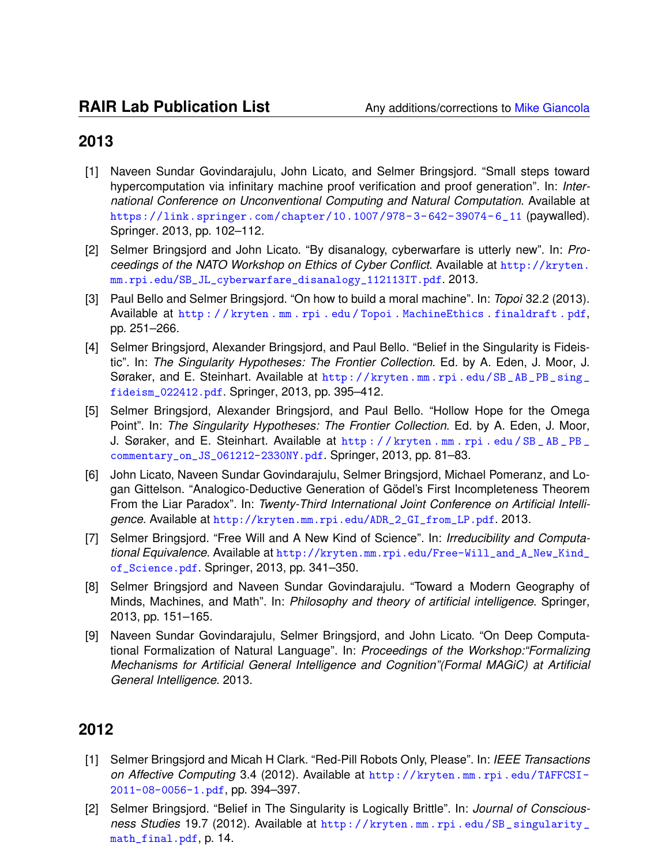- [1] Naveen Sundar Govindarajulu, John Licato, and Selmer Bringsjord. "Small steps toward hypercomputation via infinitary machine proof verification and proof generation". In: *International Conference on Unconventional Computing and Natural Computation*. Available at [https://link.springer.com/chapter/10.1007/978- 3- 642- 39074- 6\\_11](https://link.springer.com/chapter/10.1007/978-3-642-39074-6_11) (paywalled). Springer. 2013, pp. 102–112.
- [2] Selmer Bringsjord and John Licato. "By disanalogy, cyberwarfare is utterly new". In: *Proceedings of the NATO Workshop on Ethics of Cyber Conflict*. Available at [http://kryten.](http://kryten.mm.rpi.edu/SB_JL_cyberwarfare_disanalogy_112113IT.pdf) [mm.rpi.edu/SB\\_JL\\_cyberwarfare\\_disanalogy\\_112113IT.pdf](http://kryten.mm.rpi.edu/SB_JL_cyberwarfare_disanalogy_112113IT.pdf). 2013.
- [3] Paul Bello and Selmer Bringsjord. "On how to build a moral machine". In: *Topoi* 32.2 (2013). Available at [http : / / kryten . mm . rpi . edu / Topoi . MachineEthics . finaldraft . pdf](http://kryten.mm.rpi.edu/Topoi.MachineEthics.finaldraft.pdf), pp. 251–266.
- [4] Selmer Bringsjord, Alexander Bringsjord, and Paul Bello. "Belief in the Singularity is Fideistic". In: *The Singularity Hypotheses: The Frontier Collection*. Ed. by A. Eden, J. Moor, J. Søraker, and E. Steinhart. Available at http://kryten.mm.rpi.edu/SB\_AB\_PB\_sing\_ [fideism\\_022412.pdf](http://kryten.mm.rpi.edu/SB_AB_PB_sing_fideism_022412.pdf). Springer, 2013, pp. 395–412.
- [5] Selmer Bringsjord, Alexander Bringsjord, and Paul Bello. "Hollow Hope for the Omega Point". In: *The Singularity Hypotheses: The Frontier Collection*. Ed. by A. Eden, J. Moor, J. Søraker, and E. Steinhart. Available at [http : / / kryten . mm . rpi . edu / SB \\_ AB \\_ PB \\_](http://kryten.mm.rpi.edu/SB_AB_PB_commentary_on_JS_061212-2330NY.pdf) [commentary\\_on\\_JS\\_061212-2330NY.pdf](http://kryten.mm.rpi.edu/SB_AB_PB_commentary_on_JS_061212-2330NY.pdf). Springer, 2013, pp. 81–83.
- [6] John Licato, Naveen Sundar Govindarajulu, Selmer Bringsjord, Michael Pomeranz, and Logan Gittelson. "Analogico-Deductive Generation of Gödel's First Incompleteness Theorem From the Liar Paradox". In: *Twenty-Third International Joint Conference on Artificial Intelligence*. Available at [http://kryten.mm.rpi.edu/ADR\\_2\\_GI\\_from\\_LP.pdf](http://kryten.mm.rpi.edu/ADR_2_GI_from_LP.pdf). 2013.
- [7] Selmer Bringsjord. "Free Will and A New Kind of Science". In: *Irreducibility and Computational Equivalence*. Available at [http://kryten.mm.rpi.edu/Free-Will\\_and\\_A\\_New\\_Kind\\_](http://kryten.mm.rpi.edu/Free-Will_and_A_New_Kind_of_Science.pdf) [of\\_Science.pdf](http://kryten.mm.rpi.edu/Free-Will_and_A_New_Kind_of_Science.pdf). Springer, 2013, pp. 341–350.
- [8] Selmer Bringsjord and Naveen Sundar Govindarajulu. "Toward a Modern Geography of Minds, Machines, and Math". In: *Philosophy and theory of artificial intelligence*. Springer, 2013, pp. 151–165.
- [9] Naveen Sundar Govindarajulu, Selmer Bringsjord, and John Licato. "On Deep Computational Formalization of Natural Language". In: *Proceedings of the Workshop:"Formalizing Mechanisms for Artificial General Intelligence and Cognition"(Formal MAGiC) at Artificial General Intelligence*. 2013.

- [1] Selmer Bringsjord and Micah H Clark. "Red-Pill Robots Only, Please". In: *IEEE Transactions on Affective Computing* 3.4 (2012). Available at [http://kryten.mm.rpi.edu/TAFFCSI-](http://kryten.mm.rpi.edu/TAFFCSI-2011-08-0056-1.pdf)[2011-08-0056-1.pdf](http://kryten.mm.rpi.edu/TAFFCSI-2011-08-0056-1.pdf), pp. 394–397.
- [2] Selmer Bringsjord. "Belief in The Singularity is Logically Brittle". In: *Journal of Consciousness Studies* 19.7 (2012). Available at [http://kryten.mm.rpi.edu/SB\\_singularity\\_](http://kryten.mm.rpi.edu/SB_singularity_math_final.pdf) [math\\_final.pdf](http://kryten.mm.rpi.edu/SB_singularity_math_final.pdf), p. 14.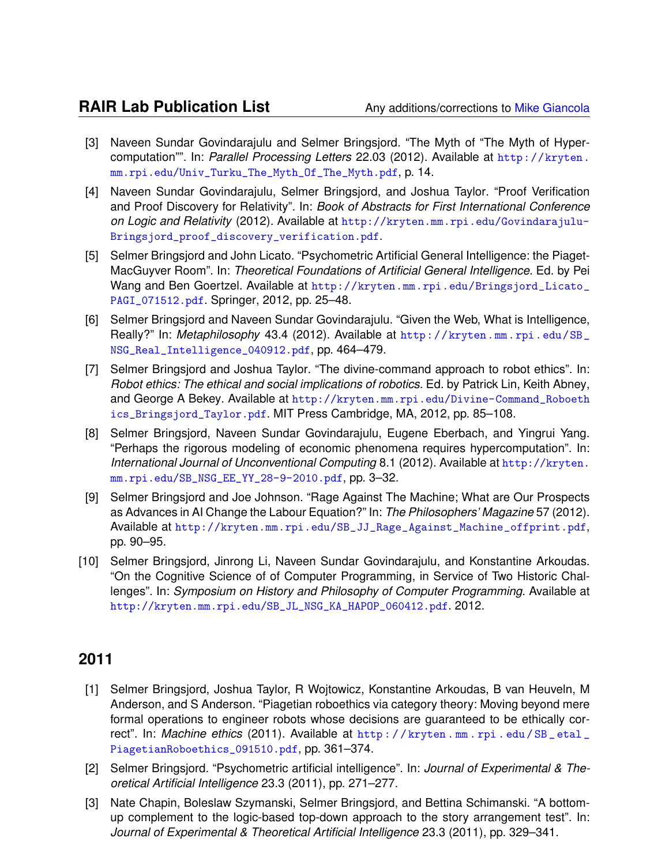- [3] Naveen Sundar Govindarajulu and Selmer Bringsjord. "The Myth of "The Myth of Hypercomputation"". In: *Parallel Processing Letters* 22.03 (2012). Available at [http://kryten.](http://kryten.mm.rpi.edu/Univ_Turku_The_Myth_Of_The_Myth.pdf) [mm.rpi.edu/Univ\\_Turku\\_The\\_Myth\\_Of\\_The\\_Myth.pdf](http://kryten.mm.rpi.edu/Univ_Turku_The_Myth_Of_The_Myth.pdf), p. 14.
- [4] Naveen Sundar Govindarajulu, Selmer Bringsjord, and Joshua Taylor. "Proof Verification and Proof Discovery for Relativity". In: *Book of Abstracts for First International Conference on Logic and Relativity* (2012). Available at [http://kryten.mm.rpi.edu/Govindarajulu-](http://kryten.mm.rpi.edu/Govindarajulu-Bringsjord_proof_discovery_verification.pdf)[Bringsjord\\_proof\\_discovery\\_verification.pdf](http://kryten.mm.rpi.edu/Govindarajulu-Bringsjord_proof_discovery_verification.pdf).
- [5] Selmer Bringsjord and John Licato. "Psychometric Artificial General Intelligence: the Piaget-MacGuyver Room". In: *Theoretical Foundations of Artificial General Intelligence*. Ed. by Pei Wang and Ben Goertzel. Available at [http://kryten.mm.rpi.edu/Bringsjord\\_Licato\\_](http://kryten.mm.rpi.edu/Bringsjord_Licato_PAGI_071512.pdf) [PAGI\\_071512.pdf](http://kryten.mm.rpi.edu/Bringsjord_Licato_PAGI_071512.pdf). Springer, 2012, pp. 25–48.
- [6] Selmer Bringsjord and Naveen Sundar Govindarajulu. "Given the Web, What is Intelligence, Really?" In: *Metaphilosophy* 43.4 (2012). Available at [http://kryten.mm.rpi.edu/SB\\_](http://kryten.mm.rpi.edu/SB_NSG_Real_Intelligence_040912.pdf) [NSG\\_Real\\_Intelligence\\_040912.pdf](http://kryten.mm.rpi.edu/SB_NSG_Real_Intelligence_040912.pdf), pp. 464–479.
- [7] Selmer Bringsjord and Joshua Taylor. "The divine-command approach to robot ethics". In: *Robot ethics: The ethical and social implications of robotics*. Ed. by Patrick Lin, Keith Abney, and George A Bekey. Available at [http://kryten.mm.rpi.edu/Divine-Command\\_Roboeth](http://kryten.mm.rpi.edu/Divine-Command_Roboethics_Bringsjord_Taylor.pdf) [ics\\_Bringsjord\\_Taylor.pdf](http://kryten.mm.rpi.edu/Divine-Command_Roboethics_Bringsjord_Taylor.pdf). MIT Press Cambridge, MA, 2012, pp. 85–108.
- [8] Selmer Bringsjord, Naveen Sundar Govindarajulu, Eugene Eberbach, and Yingrui Yang. "Perhaps the rigorous modeling of economic phenomena requires hypercomputation". In: *International Journal of Unconventional Computing* 8.1 (2012). Available at [http://kryten.](http://kryten.mm.rpi.edu/SB_NSG_EE_YY_28-9-2010.pdf) [mm.rpi.edu/SB\\_NSG\\_EE\\_YY\\_28-9-2010.pdf](http://kryten.mm.rpi.edu/SB_NSG_EE_YY_28-9-2010.pdf), pp. 3–32.
- [9] Selmer Bringsjord and Joe Johnson. "Rage Against The Machine; What are Our Prospects as Advances in AI Change the Labour Equation?" In: *The Philosophers' Magazine* 57 (2012). Available at [http://kryten.mm.rpi.edu/SB\\_JJ\\_Rage\\_Against\\_Machine\\_offprint.pdf](http://kryten.mm.rpi.edu/SB_JJ_Rage_Against_Machine_offprint.pdf), pp. 90–95.
- [10] Selmer Bringsjord, Jinrong Li, Naveen Sundar Govindarajulu, and Konstantine Arkoudas. "On the Cognitive Science of of Computer Programming, in Service of Two Historic Challenges". In: *Symposium on History and Philosophy of Computer Programming*. Available at [http://kryten.mm.rpi.edu/SB\\_JL\\_NSG\\_KA\\_HAPOP\\_060412.pdf](http://kryten.mm.rpi.edu/SB_JL_NSG_KA_HAPOP_060412.pdf). 2012.

- [1] Selmer Bringsjord, Joshua Taylor, R Wojtowicz, Konstantine Arkoudas, B van Heuveln, M Anderson, and S Anderson. "Piagetian roboethics via category theory: Moving beyond mere formal operations to engineer robots whose decisions are guaranteed to be ethically correct". In: *Machine ethics* (2011). Available at [http : / / kryten . mm . rpi . edu / SB \\_ etal \\_](http://kryten.mm.rpi.edu/SB_etal_PiagetianRoboethics_091510.pdf) [PiagetianRoboethics\\_091510.pdf](http://kryten.mm.rpi.edu/SB_etal_PiagetianRoboethics_091510.pdf), pp. 361–374.
- [2] Selmer Bringsjord. "Psychometric artificial intelligence". In: *Journal of Experimental & Theoretical Artificial Intelligence* 23.3 (2011), pp. 271–277.
- [3] Nate Chapin, Boleslaw Szymanski, Selmer Bringsjord, and Bettina Schimanski. "A bottomup complement to the logic-based top-down approach to the story arrangement test". In: *Journal of Experimental & Theoretical Artificial Intelligence* 23.3 (2011), pp. 329–341.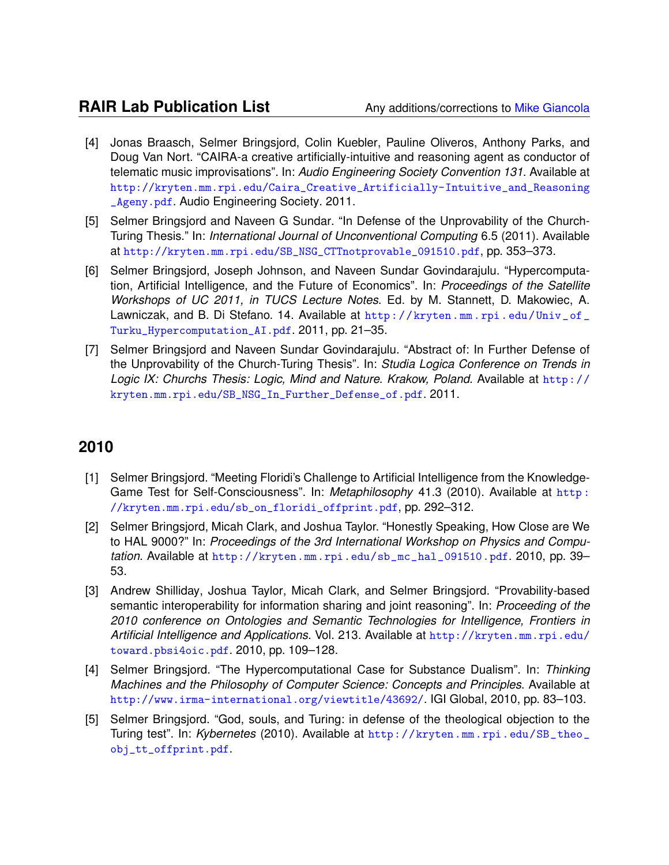- [4] Jonas Braasch, Selmer Bringsjord, Colin Kuebler, Pauline Oliveros, Anthony Parks, and Doug Van Nort. "CAIRA-a creative artificially-intuitive and reasoning agent as conductor of telematic music improvisations". In: *Audio Engineering Society Convention 131*. Available at [http://kryten.mm.rpi.edu/Caira\\_Creative\\_Artificially-Intuitive\\_and\\_Reasoning](http://kryten.mm.rpi.edu/Caira_Creative_Artificially-Intuitive_and_Reasoning_Ageny.pdf) [\\_Ageny.pdf](http://kryten.mm.rpi.edu/Caira_Creative_Artificially-Intuitive_and_Reasoning_Ageny.pdf). Audio Engineering Society. 2011.
- [5] Selmer Bringsjord and Naveen G Sundar. "In Defense of the Unprovability of the Church-Turing Thesis." In: *International Journal of Unconventional Computing* 6.5 (2011). Available at [http://kryten.mm.rpi.edu/SB\\_NSG\\_CTTnotprovable\\_091510.pdf](http://kryten.mm.rpi.edu/SB_NSG_CTTnotprovable_091510.pdf), pp. 353–373.
- [6] Selmer Bringsjord, Joseph Johnson, and Naveen Sundar Govindarajulu. "Hypercomputation, Artificial Intelligence, and the Future of Economics". In: *Proceedings of the Satellite Workshops of UC 2011, in TUCS Lecture Notes*. Ed. by M. Stannett, D. Makowiec, A. Lawniczak, and B. Di Stefano. 14. Available at [http://kryten.mm.rpi.edu/Univ\\_of\\_](http://kryten.mm.rpi.edu/Univ_of_Turku_Hypercomputation_AI.pdf) [Turku\\_Hypercomputation\\_AI.pdf](http://kryten.mm.rpi.edu/Univ_of_Turku_Hypercomputation_AI.pdf). 2011, pp. 21–35.
- [7] Selmer Bringsjord and Naveen Sundar Govindarajulu. "Abstract of: In Further Defense of the Unprovability of the Church-Turing Thesis". In: *Studia Logica Conference on Trends in Logic IX: Churchs Thesis: Logic, Mind and Nature. Krakow, Poland*. Available at [http://](http://kryten.mm.rpi.edu/SB_NSG_In_Further_Defense_of.pdf) [kryten.mm.rpi.edu/SB\\_NSG\\_In\\_Further\\_Defense\\_of.pdf](http://kryten.mm.rpi.edu/SB_NSG_In_Further_Defense_of.pdf). 2011.

- [1] Selmer Bringsjord. "Meeting Floridi's Challenge to Artificial Intelligence from the Knowledge-Game Test for Self-Consciousness". In: *Metaphilosophy* 41.3 (2010). Available at [http :](http://kryten.mm.rpi.edu/sb_on_floridi_offprint.pdf) [//kryten.mm.rpi.edu/sb\\_on\\_floridi\\_offprint.pdf](http://kryten.mm.rpi.edu/sb_on_floridi_offprint.pdf), pp. 292–312.
- [2] Selmer Bringsjord, Micah Clark, and Joshua Taylor. "Honestly Speaking, How Close are We to HAL 9000?" In: *Proceedings of the 3rd International Workshop on Physics and Computation*. Available at [http://kryten.mm.rpi.edu/sb\\_mc\\_hal\\_091510.pdf](http://kryten.mm.rpi.edu/sb_mc_hal_091510.pdf). 2010, pp. 39– 53.
- [3] Andrew Shilliday, Joshua Taylor, Micah Clark, and Selmer Bringsjord. "Provability-based semantic interoperability for information sharing and joint reasoning". In: *Proceeding of the 2010 conference on Ontologies and Semantic Technologies for Intelligence, Frontiers in Artificial Intelligence and Applications*. Vol. 213. Available at [http://kryten.mm.rpi.edu/](http://kryten.mm.rpi.edu/toward.pbsi4oic.pdf) [toward.pbsi4oic.pdf](http://kryten.mm.rpi.edu/toward.pbsi4oic.pdf). 2010, pp. 109–128.
- [4] Selmer Bringsjord. "The Hypercomputational Case for Substance Dualism". In: *Thinking Machines and the Philosophy of Computer Science: Concepts and Principles*. Available at <http://www.irma-international.org/viewtitle/43692/>. IGI Global, 2010, pp. 83–103.
- [5] Selmer Bringsjord. "God, souls, and Turing: in defense of the theological objection to the Turing test". In: *Kybernetes* (2010). Available at [http://kryten.mm.rpi.edu/SB\\_theo\\_](http://kryten.mm.rpi.edu/SB_theo_obj_tt_offprint.pdf) [obj\\_tt\\_offprint.pdf](http://kryten.mm.rpi.edu/SB_theo_obj_tt_offprint.pdf).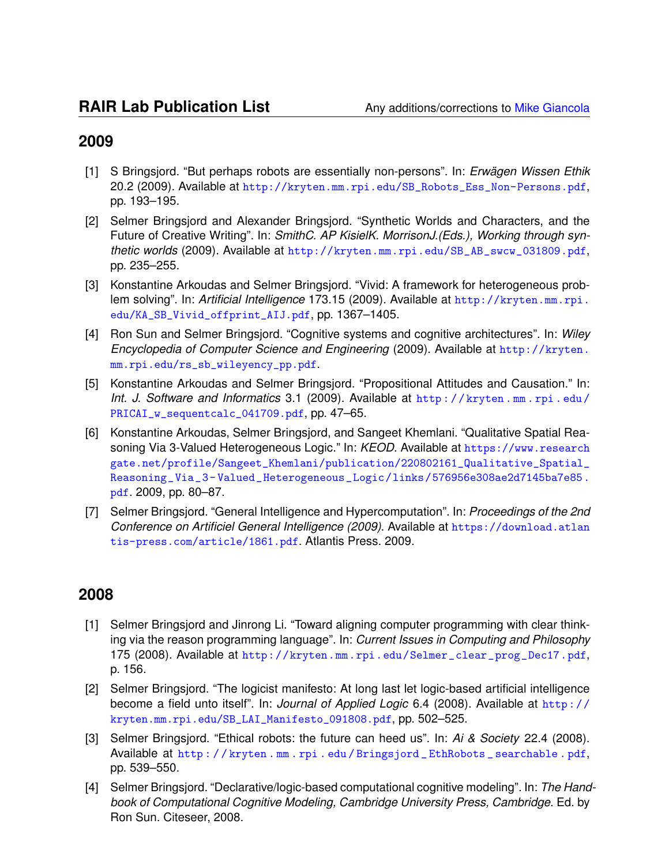- [1] S Bringsjord. "But perhaps robots are essentially non-persons". In: *Erwagen Wissen Ethik ¨* 20.2 (2009). Available at [http://kryten.mm.rpi.edu/SB\\_Robots\\_Ess\\_Non-Persons.pdf](http://kryten.mm.rpi.edu/SB_Robots_Ess_Non-Persons.pdf), pp. 193–195.
- [2] Selmer Bringsjord and Alexander Bringsjord. "Synthetic Worlds and Characters, and the Future of Creative Writing". In: *SmithC. AP KisielK. MorrisonJ.(Eds.), Working through synthetic worlds* (2009). Available at [http://kryten.mm.rpi.edu/SB\\_AB\\_swcw\\_031809.pdf](http://kryten.mm.rpi.edu/SB_AB_swcw_031809.pdf), pp. 235–255.
- [3] Konstantine Arkoudas and Selmer Bringsjord. "Vivid: A framework for heterogeneous problem solving". In: *Artificial Intelligence* 173.15 (2009). Available at [http://kryten.mm.rpi.](http://kryten.mm.rpi.edu/KA_SB_Vivid_offprint_AIJ.pdf) [edu/KA\\_SB\\_Vivid\\_offprint\\_AIJ.pdf](http://kryten.mm.rpi.edu/KA_SB_Vivid_offprint_AIJ.pdf), pp. 1367–1405.
- [4] Ron Sun and Selmer Bringsjord. "Cognitive systems and cognitive architectures". In: *Wiley Encyclopedia of Computer Science and Engineering* (2009). Available at [http://kryten.](http://kryten.mm.rpi.edu/rs_sb_wileyency_pp.pdf) [mm.rpi.edu/rs\\_sb\\_wileyency\\_pp.pdf](http://kryten.mm.rpi.edu/rs_sb_wileyency_pp.pdf).
- [5] Konstantine Arkoudas and Selmer Bringsjord. "Propositional Attitudes and Causation." In: *Int. J. Software and Informatics* 3.1 (2009). Available at [http : / / kryten . mm . rpi . edu /](http://kryten.mm.rpi.edu/PRICAI_w_sequentcalc_041709.pdf) [PRICAI\\_w\\_sequentcalc\\_041709.pdf](http://kryten.mm.rpi.edu/PRICAI_w_sequentcalc_041709.pdf), pp. 47-65.
- [6] Konstantine Arkoudas, Selmer Bringsjord, and Sangeet Khemlani. "Qualitative Spatial Reasoning Via 3-Valued Heterogeneous Logic." In: *KEOD*. Available at [https://www.research](https://www.researchgate.net/profile/Sangeet_Khemlani/publication/220802161_Qualitative_Spatial_Reasoning_Via_3-Valued_Heterogeneous_Logic/links/576956e308ae2d7145ba7e85.pdf) [gate.net/profile/Sangeet\\_Khemlani/publication/220802161\\_Qualitative\\_Spatial\\_](https://www.researchgate.net/profile/Sangeet_Khemlani/publication/220802161_Qualitative_Spatial_Reasoning_Via_3-Valued_Heterogeneous_Logic/links/576956e308ae2d7145ba7e85.pdf) [Reasoning\\_Via\\_3- Valued\\_Heterogeneous\\_Logic/links/576956e308ae2d7145ba7e85.](https://www.researchgate.net/profile/Sangeet_Khemlani/publication/220802161_Qualitative_Spatial_Reasoning_Via_3-Valued_Heterogeneous_Logic/links/576956e308ae2d7145ba7e85.pdf) [pdf](https://www.researchgate.net/profile/Sangeet_Khemlani/publication/220802161_Qualitative_Spatial_Reasoning_Via_3-Valued_Heterogeneous_Logic/links/576956e308ae2d7145ba7e85.pdf). 2009, pp. 80–87.
- [7] Selmer Bringsjord. "General Intelligence and Hypercomputation". In: *Proceedings of the 2nd Conference on Artificiel General Intelligence (2009)*. Available at [https://download.atlan](https://download.atlantis-press.com/article/1861.pdf) [tis-press.com/article/1861.pdf](https://download.atlantis-press.com/article/1861.pdf). Atlantis Press. 2009.

- [1] Selmer Bringsjord and Jinrong Li. "Toward aligning computer programming with clear thinking via the reason programming language". In: *Current Issues in Computing and Philosophy* 175 (2008). Available at [http://kryten.mm.rpi.edu/Selmer\\_clear\\_prog\\_Dec17.pdf](http://kryten.mm.rpi.edu/Selmer_clear_prog_Dec17.pdf), p. 156.
- [2] Selmer Bringsjord. "The logicist manifesto: At long last let logic-based artificial intelligence become a field unto itself". In: *Journal of Applied Logic* 6.4 (2008). Available at [http://](http://kryten.mm.rpi.edu/SB_LAI_Manifesto_091808.pdf) [kryten.mm.rpi.edu/SB\\_LAI\\_Manifesto\\_091808.pdf](http://kryten.mm.rpi.edu/SB_LAI_Manifesto_091808.pdf), pp. 502–525.
- [3] Selmer Bringsjord. "Ethical robots: the future can heed us". In: *Ai & Society* 22.4 (2008). Available at [http : / / kryten . mm . rpi . edu / Bringsjord \\_ EthRobots \\_ searchable . pdf](http://kryten.mm.rpi.edu/Bringsjord_EthRobots_searchable.pdf), pp. 539–550.
- [4] Selmer Bringsjord. "Declarative/logic-based computational cognitive modeling". In: *The Handbook of Computational Cognitive Modeling, Cambridge University Press, Cambridge*. Ed. by Ron Sun. Citeseer, 2008.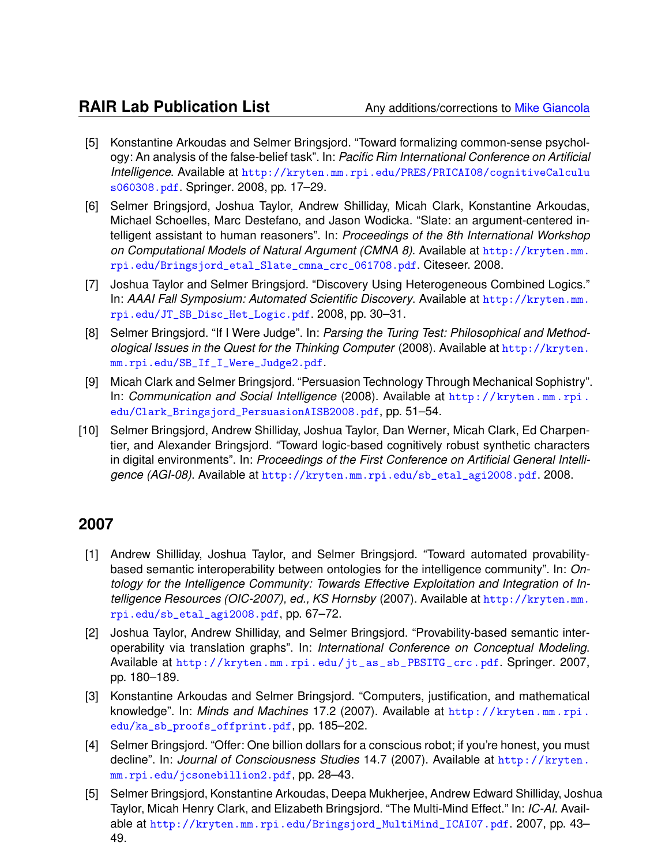- [5] Konstantine Arkoudas and Selmer Bringsjord. "Toward formalizing common-sense psychology: An analysis of the false-belief task". In: *Pacific Rim International Conference on Artificial Intelligence*. Available at [http://kryten.mm.rpi.edu/PRES/PRICAI08/cognitiveCalculu](http://kryten.mm.rpi.edu/PRES/PRICAI08/cognitiveCalculus060308.pdf) [s060308.pdf](http://kryten.mm.rpi.edu/PRES/PRICAI08/cognitiveCalculus060308.pdf). Springer. 2008, pp. 17–29.
- [6] Selmer Bringsjord, Joshua Taylor, Andrew Shilliday, Micah Clark, Konstantine Arkoudas, Michael Schoelles, Marc Destefano, and Jason Wodicka. "Slate: an argument-centered intelligent assistant to human reasoners". In: *Proceedings of the 8th International Workshop on Computational Models of Natural Argument (CMNA 8)*. Available at [http://kryten.mm.](http://kryten.mm.rpi.edu/Bringsjord_etal_Slate_cmna_crc_061708.pdf) [rpi.edu/Bringsjord\\_etal\\_Slate\\_cmna\\_crc\\_061708.pdf](http://kryten.mm.rpi.edu/Bringsjord_etal_Slate_cmna_crc_061708.pdf). Citeseer. 2008.
- [7] Joshua Taylor and Selmer Bringsjord. "Discovery Using Heterogeneous Combined Logics." In: *AAAI Fall Symposium: Automated Scientific Discovery*. Available at [http://kryten.mm.](http://kryten.mm.rpi.edu/JT_SB_Disc_Het_Logic.pdf) [rpi.edu/JT\\_SB\\_Disc\\_Het\\_Logic.pdf](http://kryten.mm.rpi.edu/JT_SB_Disc_Het_Logic.pdf). 2008, pp. 30–31.
- [8] Selmer Bringsjord. "If I Were Judge". In: *Parsing the Turing Test: Philosophical and Methodological Issues in the Quest for the Thinking Computer* (2008). Available at [http://kryten.](http://kryten.mm.rpi.edu/SB_If_I_Were_Judge2.pdf) [mm.rpi.edu/SB\\_If\\_I\\_Were\\_Judge2.pdf](http://kryten.mm.rpi.edu/SB_If_I_Were_Judge2.pdf).
- [9] Micah Clark and Selmer Bringsjord. "Persuasion Technology Through Mechanical Sophistry". In: *Communication and Social Intelligence* (2008). Available at [http://kryten.mm.rpi.](http://kryten.mm.rpi.edu/Clark_Bringsjord_PersuasionAISB2008.pdf) [edu/Clark\\_Bringsjord\\_PersuasionAISB2008.pdf](http://kryten.mm.rpi.edu/Clark_Bringsjord_PersuasionAISB2008.pdf), pp. 51–54.
- [10] Selmer Bringsjord, Andrew Shilliday, Joshua Taylor, Dan Werner, Micah Clark, Ed Charpentier, and Alexander Bringsjord. "Toward logic-based cognitively robust synthetic characters in digital environments". In: *Proceedings of the First Conference on Artificial General Intelligence (AGI-08)*. Available at [http://kryten.mm.rpi.edu/sb\\_etal\\_agi2008.pdf](http://kryten.mm.rpi.edu/sb_etal_agi2008.pdf). 2008.

- [1] Andrew Shilliday, Joshua Taylor, and Selmer Bringsjord. "Toward automated provabilitybased semantic interoperability between ontologies for the intelligence community". In: *Ontology for the Intelligence Community: Towards Effective Exploitation and Integration of Intelligence Resources (OIC-2007), ed., KS Hornsby* (2007). Available at [http://kryten.mm.](http://kryten.mm.rpi.edu/sb_etal_agi2008.pdf) [rpi.edu/sb\\_etal\\_agi2008.pdf](http://kryten.mm.rpi.edu/sb_etal_agi2008.pdf), pp. 67–72.
- [2] Joshua Taylor, Andrew Shilliday, and Selmer Bringsjord. "Provability-based semantic interoperability via translation graphs". In: *International Conference on Conceptual Modeling*. Available at [http://kryten.mm.rpi.edu/jt\\_as\\_sb\\_PBSITG\\_crc.pdf](http://kryten.mm.rpi.edu/jt_as_sb_PBSITG_crc.pdf). Springer. 2007, pp. 180–189.
- [3] Konstantine Arkoudas and Selmer Bringsjord. "Computers, justification, and mathematical knowledge". In: *Minds and Machines* 17.2 (2007). Available at [http://kryten.mm.rpi.](http://kryten.mm.rpi.edu/ka_sb_proofs_offprint.pdf) [edu/ka\\_sb\\_proofs\\_offprint.pdf](http://kryten.mm.rpi.edu/ka_sb_proofs_offprint.pdf), pp. 185–202.
- [4] Selmer Bringsjord. "Offer: One billion dollars for a conscious robot; if you're honest, you must decline". In: *Journal of Consciousness Studies* 14.7 (2007). Available at [http://kryten.](http://kryten.mm.rpi.edu/jcsonebillion2.pdf) [mm.rpi.edu/jcsonebillion2.pdf](http://kryten.mm.rpi.edu/jcsonebillion2.pdf), pp. 28–43.
- [5] Selmer Bringsjord, Konstantine Arkoudas, Deepa Mukherjee, Andrew Edward Shilliday, Joshua Taylor, Micah Henry Clark, and Elizabeth Bringsjord. "The Multi-Mind Effect." In: *IC-AI*. Available at [http://kryten.mm.rpi.edu/Bringsjord\\_MultiMind\\_ICAI07.pdf](http://kryten.mm.rpi.edu/Bringsjord_MultiMind_ICAI07.pdf). 2007, pp. 43– 49.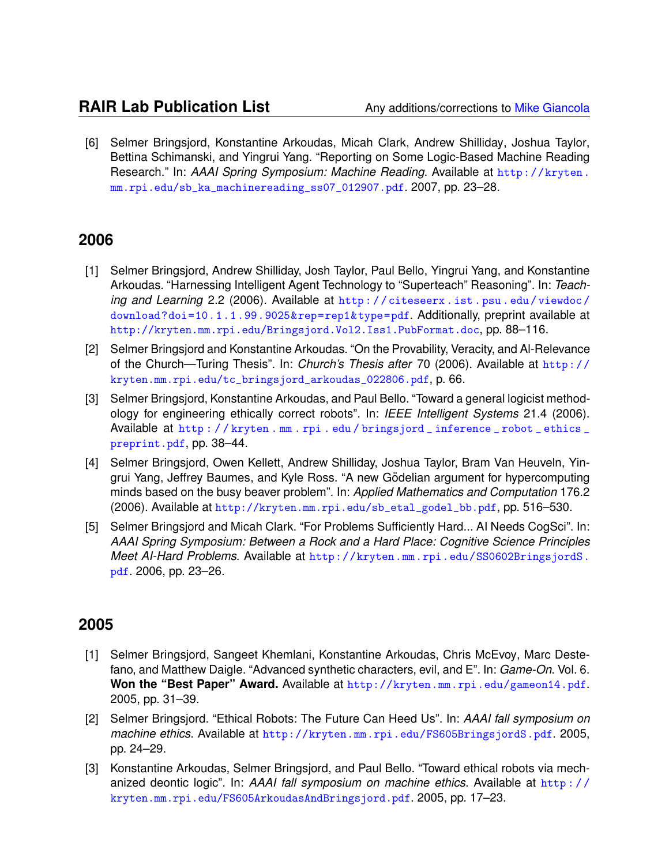[6] Selmer Bringsjord, Konstantine Arkoudas, Micah Clark, Andrew Shilliday, Joshua Taylor, Bettina Schimanski, and Yingrui Yang. "Reporting on Some Logic-Based Machine Reading Research." In: *AAAI Spring Symposium: Machine Reading*. Available at [http://kryten.](http://kryten.mm.rpi.edu/sb_ka_machinereading_ss07_012907.pdf) [mm.rpi.edu/sb\\_ka\\_machinereading\\_ss07\\_012907.pdf](http://kryten.mm.rpi.edu/sb_ka_machinereading_ss07_012907.pdf). 2007, pp. 23–28.

#### **2006**

- [1] Selmer Bringsjord, Andrew Shilliday, Josh Taylor, Paul Bello, Yingrui Yang, and Konstantine Arkoudas. "Harnessing Intelligent Agent Technology to "Superteach" Reasoning". In: *Teaching and Learning* 2.2 (2006). Available at [http : / / citeseerx . ist . psu . edu / viewdoc /](http://citeseerx.ist.psu.edu/viewdoc/download?doi=10.1.1.99.9025&rep=rep1&type=pdf) [download?doi=10.1.1.99.9025&rep=rep1&type=pdf](http://citeseerx.ist.psu.edu/viewdoc/download?doi=10.1.1.99.9025&rep=rep1&type=pdf). Additionally, preprint available at <http://kryten.mm.rpi.edu/Bringsjord.Vol2.Iss1.PubFormat.doc>, pp. 88–116.
- [2] Selmer Bringsjord and Konstantine Arkoudas. "On the Provability, Veracity, and Al-Relevance of the Church—Turing Thesis". In: *Church's Thesis after* 70 (2006). Available at [http://](http://kryten.mm.rpi.edu/tc_bringsjord_arkoudas_022806.pdf) [kryten.mm.rpi.edu/tc\\_bringsjord\\_arkoudas\\_022806.pdf](http://kryten.mm.rpi.edu/tc_bringsjord_arkoudas_022806.pdf), p. 66.
- [3] Selmer Bringsjord, Konstantine Arkoudas, and Paul Bello. "Toward a general logicist methodology for engineering ethically correct robots". In: *IEEE Intelligent Systems* 21.4 (2006). Available at [http : / / kryten . mm . rpi . edu / bringsjord \\_ inference \\_ robot \\_ ethics \\_](http://kryten.mm.rpi.edu/bringsjord_inference_robot_ethics_preprint.pdf) [preprint.pdf](http://kryten.mm.rpi.edu/bringsjord_inference_robot_ethics_preprint.pdf), pp. 38–44.
- [4] Selmer Bringsjord, Owen Kellett, Andrew Shilliday, Joshua Taylor, Bram Van Heuveln, Yingrui Yang, Jeffrey Baumes, and Kyle Ross. "A new Gödelian argument for hypercomputing minds based on the busy beaver problem". In: *Applied Mathematics and Computation* 176.2 (2006). Available at [http://kryten.mm.rpi.edu/sb\\_etal\\_godel\\_bb.pdf](http://kryten.mm.rpi.edu/sb_etal_godel_bb.pdf), pp. 516–530.
- [5] Selmer Bringsjord and Micah Clark. "For Problems Sufficiently Hard... AI Needs CogSci". In: *AAAI Spring Symposium: Between a Rock and a Hard Place: Cognitive Science Principles Meet AI-Hard Problems*. Available at [http://kryten.mm.rpi.edu/SS0602BringsjordS.](http://kryten.mm.rpi.edu/SS0602BringsjordS.pdf) [pdf](http://kryten.mm.rpi.edu/SS0602BringsjordS.pdf). 2006, pp. 23–26.

- [1] Selmer Bringsjord, Sangeet Khemlani, Konstantine Arkoudas, Chris McEvoy, Marc Destefano, and Matthew Daigle. "Advanced synthetic characters, evil, and E". In: *Game-On*. Vol. 6. Won the "Best Paper" Award. Available at <http://kryten.mm.rpi.edu/gameon14.pdf>. 2005, pp. 31–39.
- [2] Selmer Bringsjord. "Ethical Robots: The Future Can Heed Us". In: *AAAI fall symposium on machine ethics*. Available at <http://kryten.mm.rpi.edu/FS605BringsjordS.pdf>. 2005, pp. 24–29.
- [3] Konstantine Arkoudas, Selmer Bringsjord, and Paul Bello. "Toward ethical robots via mechanized deontic logic". In: *AAAI fall symposium on machine ethics*. Available at [http : / /](http://kryten.mm.rpi.edu/FS605ArkoudasAndBringsjord.pdf) [kryten.mm.rpi.edu/FS605ArkoudasAndBringsjord.pdf](http://kryten.mm.rpi.edu/FS605ArkoudasAndBringsjord.pdf). 2005, pp. 17–23.